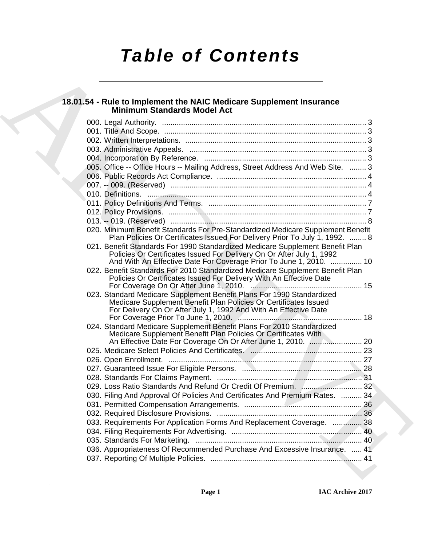# *Table of Contents*

## **18.01.54 - Rule to Implement the NAIC Medicare Supplement Insurance Minimum Standards Model Act**

| 18.01.54 - Rule to Implement the NAIC Medicare Supplement Insurance<br><b>Minimum Standards Model Act</b>                                                                                                                  |
|----------------------------------------------------------------------------------------------------------------------------------------------------------------------------------------------------------------------------|
|                                                                                                                                                                                                                            |
|                                                                                                                                                                                                                            |
|                                                                                                                                                                                                                            |
|                                                                                                                                                                                                                            |
|                                                                                                                                                                                                                            |
| 005. Office -- Office Hours -- Mailing Address, Street Address And Web Site.  3                                                                                                                                            |
|                                                                                                                                                                                                                            |
|                                                                                                                                                                                                                            |
|                                                                                                                                                                                                                            |
|                                                                                                                                                                                                                            |
|                                                                                                                                                                                                                            |
|                                                                                                                                                                                                                            |
| 020. Minimum Benefit Standards For Pre-Standardized Medicare Supplement Benefit<br>Plan Policies Or Certificates Issued For Delivery Prior To July 1, 1992.  8                                                             |
| 021. Benefit Standards For 1990 Standardized Medicare Supplement Benefit Plan<br>Policies Or Certificates Issued For Delivery On Or After July 1, 1992                                                                     |
| And With An Effective Date For Coverage Prior To June 1, 2010.  10<br>022. Benefit Standards For 2010 Standardized Medicare Supplement Benefit Plan<br>Policies Or Certificates Issued For Delivery With An Effective Date |
| 023. Standard Medicare Supplement Benefit Plans For 1990 Standardized<br>Medicare Supplement Benefit Plan Policies Or Certificates Issued<br>For Delivery On Or After July 1, 1992 And With An Effective Date              |
| 024. Standard Medicare Supplement Benefit Plans For 2010 Standardized<br>Medicare Supplement Benefit Plan Policies Or Certificates With                                                                                    |
| An Effective Date For Coverage On Or After June 1, 2010.  20                                                                                                                                                               |
|                                                                                                                                                                                                                            |
|                                                                                                                                                                                                                            |
|                                                                                                                                                                                                                            |
|                                                                                                                                                                                                                            |
|                                                                                                                                                                                                                            |
| 030. Filing And Approval Of Policies And Certificates And Premium Rates.  34                                                                                                                                               |
|                                                                                                                                                                                                                            |
|                                                                                                                                                                                                                            |
| 033. Requirements For Application Forms And Replacement Coverage.  38                                                                                                                                                      |
|                                                                                                                                                                                                                            |
|                                                                                                                                                                                                                            |
| 036. Appropriateness Of Recommended Purchase And Excessive Insurance.  41                                                                                                                                                  |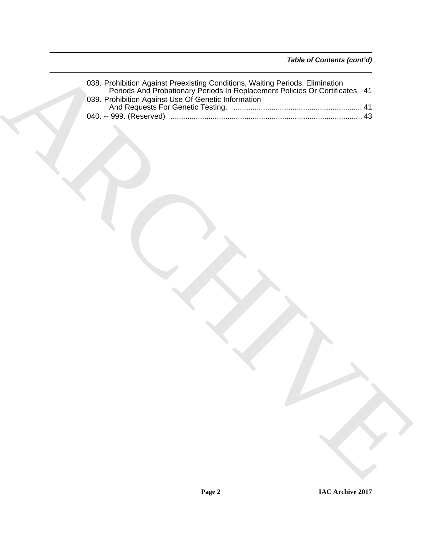| 038. Prohibition Against Preexisting Conditions, Waiting Periods, Elimination<br>Periods And Probationary Periods In Replacement Policies Or Certificates. 41 |
|---------------------------------------------------------------------------------------------------------------------------------------------------------------|
|                                                                                                                                                               |
|                                                                                                                                                               |
|                                                                                                                                                               |
|                                                                                                                                                               |
|                                                                                                                                                               |
|                                                                                                                                                               |
|                                                                                                                                                               |
|                                                                                                                                                               |
|                                                                                                                                                               |
|                                                                                                                                                               |
|                                                                                                                                                               |
|                                                                                                                                                               |
|                                                                                                                                                               |
|                                                                                                                                                               |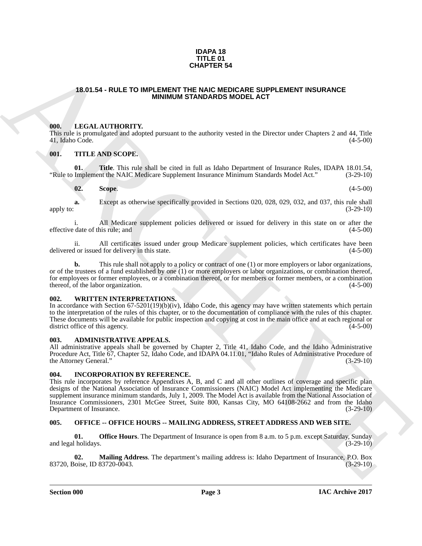## **IDAPA 18 TITLE 01 CHAPTER 54**

## <span id="page-2-0"></span>**18.01.54 - RULE TO IMPLEMENT THE NAIC MEDICARE SUPPLEMENT INSURANCE MINIMUM STANDARDS MODEL ACT**

## <span id="page-2-1"></span>**000. LEGAL AUTHORITY.**

This rule is promulgated and adopted pursuant to the authority vested in the Director under Chapters 2 and 44, Title 41, Idaho Code. (4-5-00) 41, Idaho Code.

## <span id="page-2-2"></span>**001. TITLE AND SCOPE.**

**01. Title**. This rule shall be cited in full as Idaho Department of Insurance Rules, IDAPA 18.01.54, Implement the NAIC Medicare Supplement Insurance Minimum Standards Model Act." (3-29-10) "Rule to Implement the NAIC Medicare Supplement Insurance Minimum Standards Model Act." (3-29-10)

**02. Scope**. (4-5-00)

**a.** Except as otherwise specifically provided in Sections 020, 028, 029, 032, and 037, this rule shall apply to:  $(3-29-10)$ 

i. All Medicare supplement policies delivered or issued for delivery in this state on or after the date of this rule: and (4-5-00) effective date of this rule; and (4-5-00)

ii. All certificates issued under group Medicare supplement policies, which certificates have been delivered or issued for delivery in this state. (4-5-00)

**b.** This rule shall not apply to a policy or contract of one (1) or more employers or labor organizations, or of the trustees of a fund established by one (1) or more employers or labor organizations, or combination thereof, for employees or former employees, or a combination thereof, or for members or former members, or a combination thereof, of the labor organization. (4-5-00) (4-5-00)

## <span id="page-2-3"></span>**002. WRITTEN INTERPRETATIONS.**

In accordance with Section 67-5201(19)(b)(iv), Idaho Code, this agency may have written statements which pertain to the interpretation of the rules of this chapter, or to the documentation of compliance with the rules of this chapter. These documents will be available for public inspection and copying at cost in the main office and at each regional or district office of this agency. (4-5-00) district office of this agency.

### <span id="page-2-4"></span>**003. ADMINISTRATIVE APPEALS.**

All administrative appeals shall be governed by Chapter 2, Title 41, Idaho Code, and the Idaho Administrative Procedure Act, Title 67, Chapter 52, Idaho Code, and IDAPA 04.11.01, "Idaho Rules of Administrative Procedure of the Attorney General." (3-29-10) the Attorney General."

## <span id="page-2-5"></span>**004. INCORPORATION BY REFERENCE.**

**18.01.54 - RULE TO IMPLEME 54<br>
18.01.54 - RULE TO IMPLEMENT INTOXICANT STORE SUPPLEMENT INSURANCE<br>
18.01.54 - RECORD INTOXICATION IS TANDARD SHOPLE ACT EXPRESS TO THE CONTROL 2001 11.16<br>
19.02. THE THE RECORD INTOXICATIO** This rule incorporates by reference Appendixes A, B, and C and all other outlines of coverage and specific plan designs of the National Association of Insurance Commissioners (NAIC) Model Act implementing the Medicare supplement insurance minimum standards, July 1, 2009. The Model Act is available from the National Association of Insurance Commissioners, 2301 McGee Street, Suite 800, Kansas City, MO 64108-2662 and from the Idaho Department of Insurance.

## <span id="page-2-6"></span>**005. OFFICE -- OFFICE HOURS -- MAILING ADDRESS, STREET ADDRESS AND WEB SITE.**

**01. Office Hours**. The Department of Insurance is open from 8 a.m. to 5 p.m. except Saturday, Sunday (3-29-10) and legal holidays.

**02. Mailing Address**. The department's mailing address is: Idaho Department of Insurance, P.O. Box 83720, Boise, ID 83720-0043.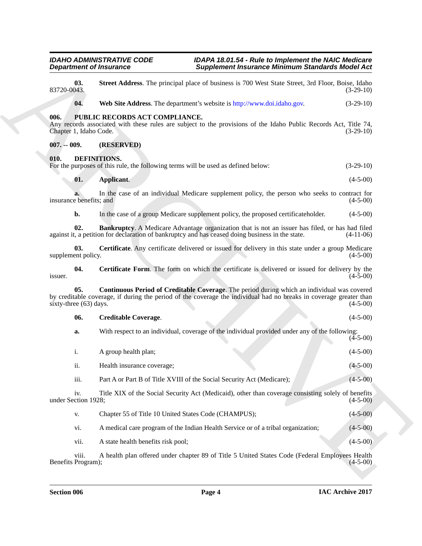<span id="page-3-9"></span><span id="page-3-8"></span><span id="page-3-7"></span><span id="page-3-6"></span><span id="page-3-5"></span><span id="page-3-4"></span><span id="page-3-3"></span><span id="page-3-2"></span><span id="page-3-1"></span><span id="page-3-0"></span>**Experiment of Instance Constraints:**<br>
Supplement hexamine Minimum Samidards Ministra State (13) State Section 16, 1998 State Section 16, 1998 State<br>
18, 1998 State Middless The depentent website is have been solved State **03.** Street Address. The principal place of business is 700 West State Street, 3rd Floor, Boise, Idaho (3-29-10) 83720-0043. (3-29-10) **04. Web Site Address**. The department's website is http://www.doi.idaho.gov. (3-29-10) **006. PUBLIC RECORDS ACT COMPLIANCE.** Any records associated with these rules are subject to the provisions of the Idaho Public Records Act, Title 74, Chapter 1, Idaho Code. (3-29-10) **007. -- 009. (RESERVED) 010. DEFINITIONS.** For the purposes of this rule, the following terms will be used as defined below:  $(3-29-10)$ **01. Applicant**. (4-5-00) **a.** In the case of an individual Medicare supplement policy, the person who seeks to contract for e benefits; and (4-5-00) insurance benefits; and **b.** In the case of a group Medicare supplement policy, the proposed certificateholder. (4-5-00) **02. Bankruptcy**. A Medicare Advantage organization that is not an issuer has filed, or has had filed, a petition for declaration of bankruptcy and has ceased doing business in the state. (4-11-06) against it, a petition for declaration of bankruptcy and has ceased doing business in the state. **03.** Certificate. Any certificate delivered or issued for delivery in this state under a group Medicare ent policy. (4-5-00) supplement policy. **04.** Certificate Form. The form on which the certificate is delivered or issued for delivery by the  $(4-5-00)$  $\frac{1}{4-5-00}$  (4-5-00) **05. Continuous Period of Creditable Coverage**. The period during which an individual was covered by creditable coverage, if during the period of the coverage the individual had no breaks in coverage greater than sixty-three  $(63)$  days. **06. Creditable Coverage**. (4-5-00) **a.** With respect to an individual, coverage of the individual provided under any of the following:  $(4-5-00)$ i. A group health plan; (4-5-00) ii. Health insurance coverage; (4-5-00) iii. Part A or Part B of Title XVIII of the Social Security Act (Medicare); (4-5-00) iv. Title XIX of the Social Security Act (Medicaid), other than coverage consisting solely of benefits under Section 1928; (4-5-00) v. Chapter 55 of Title 10 United States Code (CHAMPUS); (4-5-00) vi. A medical care program of the Indian Health Service or of a tribal organization; (4-5-00) vii. A state health benefits risk pool; (4-5-00) (4-5-00) viii. A health plan offered under chapter 89 of Title 5 United States Code (Federal Employees Health Program); (4-5-00) Benefits Program);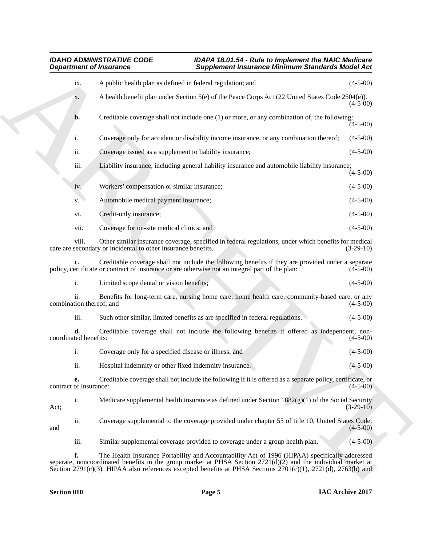| <b>Department of Insurance</b>  |                                                                                                                                                                                                                                                                                                                                            | <b>Supplement Insurance Minimum Standards Model Act</b> |  |  |
|---------------------------------|--------------------------------------------------------------------------------------------------------------------------------------------------------------------------------------------------------------------------------------------------------------------------------------------------------------------------------------------|---------------------------------------------------------|--|--|
| ix.                             | A public health plan as defined in federal regulation; and                                                                                                                                                                                                                                                                                 | $(4-5-00)$                                              |  |  |
| X.                              | A health benefit plan under Section 5(e) of the Peace Corps Act (22 United States Code 2504(e)).                                                                                                                                                                                                                                           | $(4-5-00)$                                              |  |  |
| b.                              | Creditable coverage shall not include one (1) or more, or any combination of, the following:                                                                                                                                                                                                                                               | $(4-5-00)$                                              |  |  |
| i.                              | Coverage only for accident or disability income insurance, or any combination thereof;                                                                                                                                                                                                                                                     | $(4-5-00)$                                              |  |  |
| ii.                             | Coverage issued as a supplement to liability insurance;                                                                                                                                                                                                                                                                                    | $(4-5-00)$                                              |  |  |
| iii.                            | Liability insurance, including general liability insurance and automobile liability insurance;                                                                                                                                                                                                                                             | $(4-5-00)$                                              |  |  |
| iv.                             | Workers' compensation or similar insurance;                                                                                                                                                                                                                                                                                                | $(4-5-00)$                                              |  |  |
| V.                              | Automobile medical payment insurance;                                                                                                                                                                                                                                                                                                      | $(4-5-00)$                                              |  |  |
| vi.                             | Credit-only insurance;                                                                                                                                                                                                                                                                                                                     | $(4-5-00)$                                              |  |  |
| vii.                            | Coverage for on-site medical clinics; and                                                                                                                                                                                                                                                                                                  | $(4-5-00)$                                              |  |  |
| viii.                           | Other similar insurance coverage, specified in federal regulations, under which benefits for medical<br>care are secondary or incidental to other insurance benefits.                                                                                                                                                                      | $(3-29-10)$                                             |  |  |
| c.                              | Creditable coverage shall not include the following benefits if they are provided under a separate<br>policy, certificate or contract of insurance or are otherwise not an integral part of the plan:                                                                                                                                      | $(4-5-00)$                                              |  |  |
| i.                              | Limited scope dental or vision benefits;                                                                                                                                                                                                                                                                                                   | $(4-5-00)$                                              |  |  |
| ii.<br>combination thereof; and | Benefits for long-term care, nursing home care, home health care, community-based care, or any                                                                                                                                                                                                                                             | $(4-5-00)$                                              |  |  |
| iii.                            | Such other similar, limited benefits as are specified in federal regulations.                                                                                                                                                                                                                                                              | $(4-5-00)$                                              |  |  |
| d.<br>coordinated benefits:     | Creditable coverage shall not include the following benefits if offered as independent, non-                                                                                                                                                                                                                                               | $(4-5-00)$                                              |  |  |
| i.                              | Coverage only for a specified disease or illness; and                                                                                                                                                                                                                                                                                      | $(4-5-00)$                                              |  |  |
| ii.                             | Hospital indemnity or other fixed indemnity insurance.                                                                                                                                                                                                                                                                                     | $(4 - 5 - 00)$                                          |  |  |
| е.<br>contract of insurance:    | Creditable coverage shall not include the following if it is offered as a separate policy, certificate, or                                                                                                                                                                                                                                 | $(4-5-00)$                                              |  |  |
| $\mathbf{i}$ .<br>Act;          | Medicare supplemental health insurance as defined under Section $1882(g)(1)$ of the Social Security                                                                                                                                                                                                                                        | $(3-29-10)$                                             |  |  |
| ii.<br>and                      | Coverage supplemental to the coverage provided under chapter 55 of title 10, United States Code;                                                                                                                                                                                                                                           | $(4-5-00)$                                              |  |  |
| iii.                            | Similar supplemental coverage provided to coverage under a group health plan.                                                                                                                                                                                                                                                              | $(4-5-00)$                                              |  |  |
| f.                              | The Health Insurance Portability and Accountability Act of 1996 (HIPAA) specifically addressed<br>separate, noncoordinated benefits in the group market at PHSA Section $2721(d)(2)$ and the individual market at<br>Section 2791(c)(3). HIPAA also references excepted benefits at PHSA Sections $2701(c)(1)$ , $2721(d)$ , $2763(b)$ and |                                                         |  |  |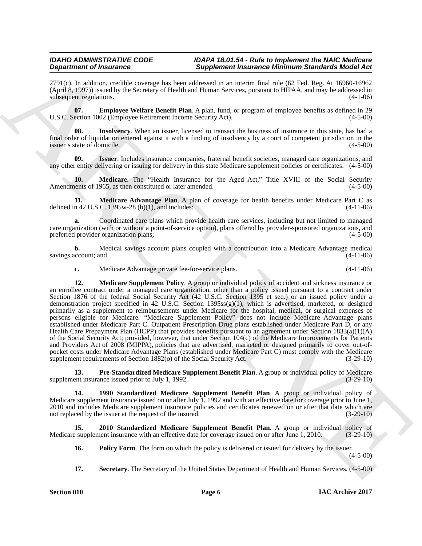2791(c). In addition, credible coverage has been addressed in an interim final rule (62 Fed. Reg. At 16960-16962 (April 8, 1997)) issued by the Secretary of Health and Human Services, pursuant to HIPAA, and may be addressed in subsequent regulations. (4-1-06)

<span id="page-5-2"></span>**07. Employee Welfare Benefit Plan**. A plan, fund, or program of employee benefits as defined in 29 U.S.C. Section 1002 (Employee Retirement Income Security Act). (4-5-00)

<span id="page-5-3"></span>**Insolvency**. When an issuer, licensed to transact the business of insurance in this state, has had a final order of liquidation entered against it with a finding of insolvency by a court of competent jurisdiction in the issuer's state of domicile. (4-5-00)

<span id="page-5-4"></span>**09. Issuer**. Includes insurance companies, fraternal benefit societies, managed care organizations, and any other entity delivering or issuing for delivery in this state Medicare supplement policies or certificates. (4-5-00)

<span id="page-5-5"></span>**10. Medicare**. The "Health Insurance for the Aged Act," Title XVIII of the Social Security lents of 1965, as then constituted or later amended. (4-5-00) Amendments of 1965, as then constituted or later amended.

<span id="page-5-6"></span>**11. Medicare Advantage Plan**. A plan of coverage for health benefits under Medicare Part C as defined in 42 U.S.C. 1395w-28 (b)(1), and includes:  $(4-11-06)$ 

**a.** Coordinated care plans which provide health care services, including but not limited to managed care organization (with or without a point-of-service option), plans offered by provider-sponsored organizations, and preferred provider organization plans; (4-5-00) preferred provider organization plans;

**b.** Medical savings account plans coupled with a contribution into a Medicare Advantage medical (4-11-06) savings account; and

<span id="page-5-7"></span>**c.** Medicare Advantage private fee-for-service plans. (4-11-06)

**Dependent of Hostenson Complete and Supplement Polaristics (Bin and Supplement Polaristics (Bin Act A) (Big 169)<br>
279 Ucross University to the Complete and Supplement Polaristics (Fig. 2). Every 2002<br>
279 Ucross Universi 12. Medicare Supplement Policy**. A group or individual policy of accident and sickness insurance or an enrollee contract under a managed care organization, other than a policy issued pursuant to a contract under Section 1876 of the federal Social Security Act (42 U.S.C. Section 1395 et seq.) or an issued policy under a demonstration project specified in 42 U.S.C. Section 1395ss(g)(1), which is advertised, marketed, or designed primarily as a supplement to reimbursements under Medicare for the hospital, medical, or surgical expenses of persons eligible for Medicare. "Medicare Supplement Policy" does not include Medicare Advantage plans established under Medicare Part C. Outpatient Prescription Drug plans established under Medicare Part D, or any Health Care Prepayment Plan (HCPP) that provides benefits pursuant to an agreement under Section 1833(a)(1)(A) of the Social Security Act; provided, however, that under Section 104(c) of the Medicare Improvements for Patients and Providers Act of 2008 (MIPPA), policies that are advertised, marketed or designed primarily to cover out-ofpocket costs under Medicare Advantage Plans (established under Medicare Part C) must comply with the Medicare supplement requirements of Section  $1882<sub>(o)</sub>$  of the Social Security Act. (3-29-10)

<span id="page-5-9"></span>**13. Pre-Standardized Medicare Supplement Benefit Plan**. A group or individual policy of Medicare ent insurance issued prior to July 1, 1992. supplement insurance issued prior to July 1, 1992.

<span id="page-5-0"></span>**14. 1990 Standardized Medicare Supplement Benefit Plan**. A group or individual policy of Medicare supplement insurance issued on or after July 1, 1992 and with an effective date for coverage prior to June 1, 2010 and includes Medicare supplement insurance policies and certificates renewed on or after that date which are not replaced by the issuer at the request of the insured.  $(3-29-10)$ 

**15. 2010 Standardized Medicare Supplement Benefit Plan**. A group or individual policy of Medicare supplement insurance with an effective date for coverage issued on or after June 1, 2010. (3-29-10)

- <span id="page-5-8"></span><span id="page-5-1"></span>**16.** Policy Form. The form on which the policy is delivered or issued for delivery by the issuer. (4-5-00)
- <span id="page-5-10"></span>**17. Secretary**. The Secretary of the United States Department of Health and Human Services. (4-5-00)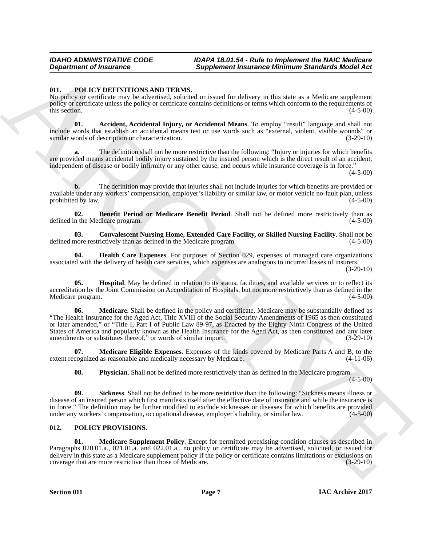## <span id="page-6-2"></span><span id="page-6-0"></span>**011. POLICY DEFINITIONS AND TERMS.**

No policy or certificate may be advertised, solicited or issued for delivery in this state as a Medicare supplement policy or certificate unless the policy or certificate contains definitions or terms which conform to the requirements of this section.  $(4-5-00)$ 

<span id="page-6-3"></span>**01. Accident, Accidental Injury, or Accidental Means**. To employ "result" language and shall not include words that establish an accidental means test or use words such as "external, violent, visible wounds" or similar words of description or characterization. (3-29-10)

**a.** The definition shall not be more restrictive than the following: "Injury or injuries for which benefits are provided means accidental bodily injury sustained by the insured person which is the direct result of an accident, independent of disease or bodily infirmity or any other cause, and occurs while insurance coverage is in force."

(4-5-00)

**b.** The definition may provide that injuries shall not include injuries for which benefits are provided or available under any workers' compensation, employer's liability or similar law, or motor vehicle no-fault plan, unless<br>(4-5-00) (4-5-00) prohibited by law.

<span id="page-6-4"></span>**02. Benefit Period or Medicare Benefit Period**. Shall not be defined more restrictively than as n the Medicare program. (4-5-00) defined in the Medicare program.

<span id="page-6-5"></span>**03. Convalescent Nursing Home, Extended Care Facility, or Skilled Nursing Facility**. Shall not be defined more restrictively than as defined in the Medicare program. (4-5-00)

<span id="page-6-6"></span>**04. Health Care Expenses**. For purposes of Section 029, expenses of managed care organizations associated with the delivery of health care services, which expenses are analogous to incurred losses of insurers.

(3-29-10)

<span id="page-6-8"></span><span id="page-6-7"></span>**05. Hospital**. May be defined in relation to its status, facilities, and available services or to reflect its accreditation by the Joint Commission on Accreditation of Hospitals, but not more restrictively than as defined in the Medicare program. (4-5-00) (4-5-00)

**Department of Insurance <br>
Supplement Insurance Supplement Insurance Infinitum Standards Holes Act 10.**<br>
No gas So representative and the contract are leader to color provide the standard supplement<br>
No gas So that the st **06. Medicare**. Shall be defined in the policy and certificate. Medicare may be substantially defined as "The Health Insurance for the Aged Act, Title XVIII of the Social Security Amendments of 1965 as then constituted or later amended," or "Title I, Part I of Public Law 89-97, as Enacted by the Eighty-Ninth Congress of the United States of America and popularly known as the Health Insurance for the Aged Act, as then constituted and any later amendments or substitutes thereof," or words of similar import. (3-29-10) amendments or substitutes thereof," or words of similar import.

**07. Medicare Eligible Expenses**. Expenses of the kinds covered by Medicare Parts A and B, to the cognized as reasonable and medically necessary by Medicare. (4-11-06) extent recognized as reasonable and medically necessary by Medicare.

<span id="page-6-11"></span><span id="page-6-10"></span><span id="page-6-9"></span>**08. Physician**. Shall not be defined more restrictively than as defined in the Medicare program.

 $(4 - 5 - 00)$ 

Sickness. Shall not be defined to be more restrictive than the following: "Sickness means illness or disease of an insured person which first manifests itself after the effective date of insurance and while the insurance is in force." The definition may be further modified to exclude sicknesses or diseases for which benefits are provided under any workers' compensation, occupational disease, employer's liability, or similar law. (4-5-00)

## <span id="page-6-12"></span><span id="page-6-1"></span>**012. POLICY PROVISIONS.**

<span id="page-6-13"></span>**01. Medicare Supplement Policy**. Except for permitted preexisting condition clauses as described in Paragraphs 020.01.a., 021.01.a. and 022.01.a., no policy or certificate may be advertised, solicited, or issued for delivery in this state as a Medicare supplement policy if the policy or certificate contains limitations or exclusions on coverage that are more restrictive than those of Medicare. (3-29-10) coverage that are more restrictive than those of Medicare.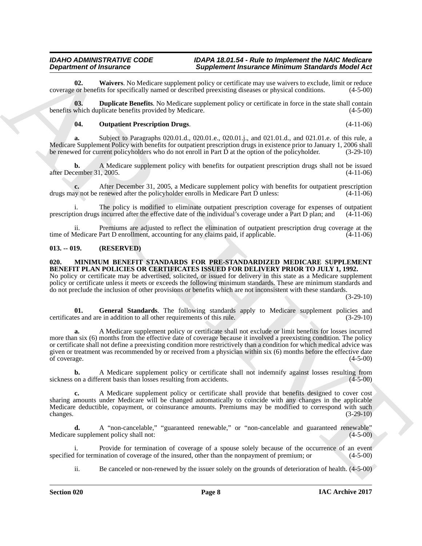<span id="page-7-6"></span>**02.** Waivers. No Medicare supplement policy or certificate may use waivers to exclude, limit or reduce or benefits for specifically named or described preexisting diseases or physical conditions. (4-5-00) coverage or benefits for specifically named or described preexisting diseases or physical conditions.

**03. Duplicate Benefits**. No Medicare supplement policy or certificate in force in the state shall contain benefits which duplicate benefits provided by Medicare. (4-5-00)

## <span id="page-7-5"></span><span id="page-7-4"></span>**04. Outpatient Prescription Drugs**. (4-11-06)

**a.** Subject to Paragraphs 020.01.d., 020.01.e., 020.01.j., and 021.01.d., and 021.01.e. of this rule, a Medicare Supplement Policy with benefits for outpatient prescription drugs in existence prior to January 1, 2006 shall be renewed for current policyholders who do not enroll in Part D at the option of the policyholder. (3-29-10)

**b.** A Medicare supplement policy with benefits for outpatient prescription drugs shall not be issued cember 31, 2005. (4-11-06) after December 31, 2005.

**c.** After December 31, 2005, a Medicare supplement policy with benefits for outpatient prescription by not be renewed after the policyholder enrolls in Medicare Part D unless: (4-11-06) drugs may not be renewed after the policyholder enrolls in Medicare Part  $\vec{D}$  unless:

The policy is modified to eliminate outpatient prescription coverage for expenses of outpatient prescription drugs incurred after the effective date of the individual's coverage under a Part D plan; and (4-11-06)

ii. Premiums are adjusted to reflect the elimination of outpatient prescription drug coverage at the Medicare Part D enrollment, accounting for any claims paid, if applicable. (4-11-06) time of Medicare Part D enrollment, accounting for any claims paid, if applicable.

## <span id="page-7-0"></span>**013. -- 019. (RESERVED)**

## <span id="page-7-2"></span><span id="page-7-1"></span>**020. MINIMUM BENEFIT STANDARDS FOR PRE-STANDARDIZED MEDICARE SUPPLEMENT BENEFIT PLAN POLICIES OR CERTIFICATES ISSUED FOR DELIVERY PRIOR TO JULY 1, 1992.**

No policy or certificate may be advertised, solicited, or issued for delivery in this state as a Medicare supplement policy or certificate unless it meets or exceeds the following minimum standards. These are minimum standards and do not preclude the inclusion of other provisions or benefits which are not inconsistent with these standards.

(3-29-10)

<span id="page-7-3"></span>**01.** General Standards. The following standards apply to Medicare supplement policies and are in addition to all other requirements of this rule. (3-29-10) certificates and are in addition to all other requirements of this rule.

**Department of Heatrest Constraints (September 1971)** and the strengthenial photon is the strengthenial photon of the strengthenial photon of the strengthenial photon of the strengthenial photon of the strengthenial photo **a.** A Medicare supplement policy or certificate shall not exclude or limit benefits for losses incurred more than six (6) months from the effective date of coverage because it involved a preexisting condition. The policy or certificate shall not define a preexisting condition more restrictively than a condition for which medical advice was given or treatment was recommended by or received from a physician within six (6) months before the effective date  $\sigma$  coverage.  $(4-5-00)$ 

**b.** A Medicare supplement policy or certificate shall not indemnify against losses resulting from on a different basis than losses resulting from accidents. (4-5-00) sickness on a different basis than losses resulting from accidents.

**c.** A Medicare supplement policy or certificate shall provide that benefits designed to cover cost sharing amounts under Medicare will be changed automatically to coincide with any changes in the applicable Medicare deductible, copayment, or coinsurance amounts. Premiums may be modified to correspond with such changes. (3-29-10) changes.  $(3-29-10)$ 

**d.** A "non-cancelable," "guaranteed renewable," or "non-cancelable and guaranteed renewable" Medicare supplement policy shall not: (4-5-00)

Provide for termination of coverage of a spouse solely because of the occurrence of an event ination of coverage of the insured, other than the nonpayment of premium; or (4-5-00) specified for termination of coverage of the insured, other than the nonpayment of premium; or

ii. Be canceled or non-renewed by the issuer solely on the grounds of deterioration of health. (4-5-00)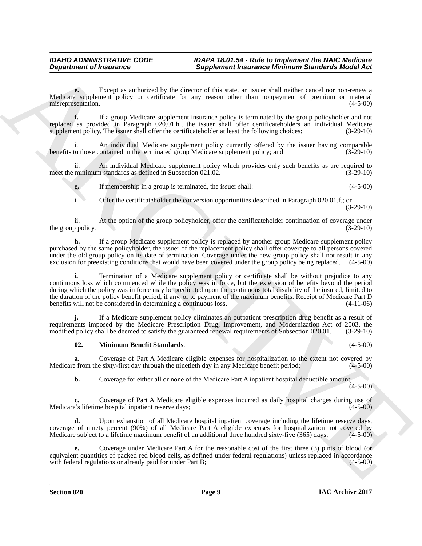**e.** Except as authorized by the director of this state, an issuer shall neither cancel nor non-renew a Medicare supplement policy or certificate for any reason other than nonpayment of premium or material misrepresentation. (4-5-00) misrepresentation.

**f.** If a group Medicare supplement insurance policy is terminated by the group policyholder and not replaced as provided in Paragraph 020.01.h., the issuer shall offer certificateholders an individual Medicare supplement policy. The issuer shall offer the certificate holder at least the following choices: (3-29-10)

An individual Medicare supplement policy currently offered by the issuer having comparable benefits to those contained in the terminated group Medicare supplement policy; and (3-29-10)

ii. An individual Medicare supplement policy which provides only such benefits as are required to meet the minimum standards as defined in Subsection 021.02. (3-29-10)

**g.** If membership in a group is terminated, the issuer shall: (4-5-00)

i. Offer the certificateholder the conversion opportunities described in Paragraph 020.01.f.; or (3-29-10)

ii. At the option of the group policyholder, offer the certificateholder continuation of coverage under the group policy.

**h.** If a group Medicare supplement policy is replaced by another group Medicare supplement policy purchased by the same policyholder, the issuer of the replacement policy shall offer coverage to all persons covered under the old group policy on its date of termination. Coverage under the new group policy shall not result in any exclusion for preexisting conditions that would have been covered under the group policy being replaced. (4 exclusion for preexisting conditions that would have been covered under the group policy being replaced.

**Department of Irraneance <br>
Supplement in a distributed by the state and interest in the state and interest in the state and interest in the state and interest in the state and interest in the state and interest in the st i.** Termination of a Medicare supplement policy or certificate shall be without prejudice to any continuous loss which commenced while the policy was in force, but the extension of benefits beyond the period during which the policy was in force may be predicated upon the continuous total disability of the insured, limited to the duration of the policy benefit period, if any, or to payment of the maximum benefits. Receipt of Medicare Part D benefits will not be considered in determining a continuous loss. (4-11-06)

**j.** If a Medicare supplement policy eliminates an outpatient prescription drug benefit as a result of requirements imposed by the Medicare Prescription Drug, Improvement, and Modernization Act of 2003, the modified policy shall be deemed to satisfy the guaranteed renewal requirements of Subsection 020.01. (3-29-10)

## <span id="page-8-0"></span>**02. Minimum Benefit Standards**. (4-5-00)

**a.** Coverage of Part A Medicare eligible expenses for hospitalization to the extent not covered by Medicare from the sixty-first day through the ninetieth day in any Medicare benefit period; (4-5-00)

**b.** Coverage for either all or none of the Medicare Part A inpatient hospital deductible amount;

 $(4-5-00)$ 

**c.** Coverage of Part A Medicare eligible expenses incurred as daily hospital charges during use of Medicare's lifetime hospital inpatient reserve days; (4-5-00)

**d.** Upon exhaustion of all Medicare hospital inpatient coverage including the lifetime reserve days, coverage of ninety percent (90%) of all Medicare Part A eligible expenses for hospitalization not covered by Medicare subject to a lifetime maximum benefit of an additional three hundred sixty-five (365) days; (4-5-00)

**e.** Coverage under Medicare Part A for the reasonable cost of the first three (3) pints of blood (or equivalent quantities of packed red blood cells, as defined under federal regulations) unless replaced in accordance with federal regulations or already paid for under Part B; with federal regulations or already paid for under Part B;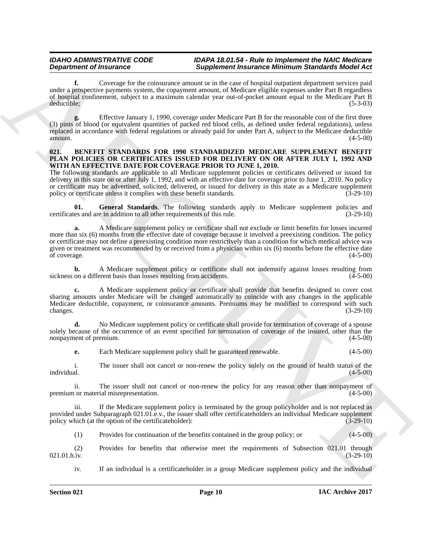**f.** Coverage for the coinsurance amount or in the case of hospital outpatient department services paid under a prospective payments system, the copayment amount, of Medicare eligible expenses under Part B regardless of hospital confinement, subject to a maximum calendar year out-of-pocket amount equal to the Medicare Part B deductible; (5-3-03)

**g.** Effective January 1, 1990, coverage under Medicare Part B for the reasonable cost of the first three (3) pints of blood (or equivalent quantities of packed red blood cells, as defined under federal regulations), unless replaced in accordance with federal regulations or already paid for under Part A, subject to the Medicare deductible amount.  $(4-5-00)$ 

### <span id="page-9-1"></span><span id="page-9-0"></span>**021. BENEFIT STANDARDS FOR 1990 STANDARDIZED MEDICARE SUPPLEMENT BENEFIT PLAN POLICIES OR CERTIFICATES ISSUED FOR DELIVERY ON OR AFTER JULY 1, 1992 AND WITH AN EFFECTIVE DATE FOR COVERAGE PRIOR TO JUNE 1, 2010.**

The following standards are applicable to all Medicare supplement policies or certificates delivered or issued for delivery in this state on or after July 1, 1992, and with an effective date for coverage prior to June 1, 2010. No policy or certificate may be advertised, solicited, delivered, or issued for delivery in this state as a Medicare supplement policy or certificate unless it complies with these benefit standards. (3-29-10) policy or certificate unless it complies with these benefit standards.

<span id="page-9-2"></span>**01.** General Standards. The following standards apply to Medicare supplement policies and are in addition to all other requirements of this rule. certificates and are in addition to all other requirements of this rule.

**Department of Francois Complete Superiority (Superiority Neumation Minimum Superiority Superiority Superiority Superiority Superiority Superiority Superiority Superiority Superiority Superiority Superiority Superiority ( a.** A Medicare supplement policy or certificate shall not exclude or limit benefits for losses incurred more than six (6) months from the effective date of coverage because it involved a preexisting condition. The policy or certificate may not define a preexisting condition more restrictively than a condition for which medical advice was given or treatment was recommended by or received from a physician within six (6) months before the effective date<br>of coverage. (4-5-00) of coverage. (4-5-00)

**b.** A Medicare supplement policy or certificate shall not indemnify against losses resulting from on a different basis than losses resulting from accidents. (4-5-00) sickness on a different basis than losses resulting from accidents.

**c.** A Medicare supplement policy or certificate shall provide that benefits designed to cover cost sharing amounts under Medicare will be changed automatically to coincide with any changes in the applicable Medicare deductible, copayment, or coinsurance amounts. Premiums may be modified to correspond with such changes. (3-29-10)

**d.** No Medicare supplement policy or certificate shall provide for termination of coverage of a spouse solely because of the occurrence of an event specified for termination of coverage of the insured, other than the nonpayment of premium.  $(4-5-00)$ 

**e.** Each Medicare supplement policy shall be guaranteed renewable. (4-5-00)

i. The issuer shall not cancel or non-renew the policy solely on the ground of health status of the individual. (4-5-00)

ii. The issuer shall not cancel or non-renew the policy for any reason other than nonpayment of the or material misrepresentation. (4-5-00) premium or material misrepresentation.

iii. If the Medicare supplement policy is terminated by the group policyholder and is not replaced as provided under Subparagraph 021.01.e.v., the issuer shall offer certificateholders an individual Medicare supplement policy which (at the option of the certificateholder): (3-29-10) policy which (at the option of the certificateholder):

(1) Provides for continuation of the benefits contained in the group policy; or (4-5-00)

(2) Provides for benefits that otherwise meet the requirements of Subsection 021.01 through 021.01 through  $(3-29-10)$  $021.01$ .h.iv.  $(3-29-10)$ 

iv. If an individual is a certificateholder in a group Medicare supplement policy and the individual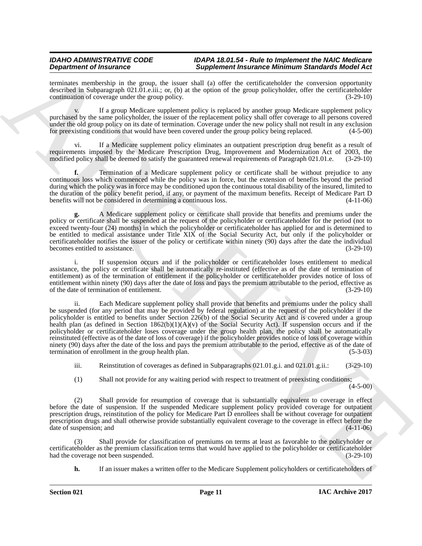terminates membership in the group, the issuer shall (a) offer the certificateholder the conversion opportunity described in Subparagraph 021.01.e.iii.; or, (b) at the option of the group policyholder, offer the certificateholder continuation of coverage under the group policy. (3-29-10) continuation of coverage under the group policy.

v. If a group Medicare supplement policy is replaced by another group Medicare supplement policy purchased by the same policyholder, the issuer of the replacement policy shall offer coverage to all persons covered under the old group policy on its date of termination. Coverage under the new policy shall not result in any exclusion for preexisting conditions that would have been covered under the group policy being replaced. (4-5-00)

If a Medicare supplement policy eliminates an outpatient prescription drug benefit as a result of requirements imposed by the Medicare Prescription Drug, Improvement and Modernization Act of 2003, the modified policy shall be deemed to satisfy the guaranteed renewal requirements of Paragraph 021.01.e. (3-29-10) modified policy shall be deemed to satisfy the guaranteed renewal requirements of Paragraph 021.01.e.

**f.** Termination of a Medicare supplement policy or certificate shall be without prejudice to any continuous loss which commenced while the policy was in force, but the extension of benefits beyond the period during which the policy was in force may be conditioned upon the continuous total disability of the insured, limited to the duration of the policy benefit period, if any, or payment of the maximum benefits. Receipt of Medicare Part D<br>benefits will not be considered in determining a continuous loss. (4-11-06) benefits will not be considered in determining a continuous loss.

**g.** A Medicare supplement policy or certificate shall provide that benefits and premiums under the policy or certificate shall be suspended at the request of the policyholder or certificateholder for the period (not to exceed twenty-four (24) months) in which the policyholder or certificateholder has applied for and is determined to be entitled to medical assistance under Title XIX of the Social Security Act, but only if the policyholder or certificateholder notifies the issuer of the policy or certificate within ninety (90) days after the date the individual becomes entitled to assistance. (3-29-10)

i. If suspension occurs and if the policyholder or certificateholder loses entitlement to medical assistance, the policy or certificate shall be automatically re-instituted (effective as of the date of termination of entitlement) as of the termination of entitlement if the policyholder or certificateholder provides notice of loss of entitlement within ninety (90) days after the date of loss and pays the premium attributable to the period, effective as of the date of termination of entitlement.

**Dependent of Francoise.** Suppose the **Conservation** of the simulation of the simulation of the simulation of the simulation of the simulation of the simulation of the simulation of the simulation of the simulation of the ii. Each Medicare supplement policy shall provide that benefits and premiums under the policy shall be suspended (for any period that may be provided by federal regulation) at the request of the policyholder if the policyholder is entitled to benefits under Section 226(b) of the Social Security Act and is covered under a group health plan (as defined in Section  $1862(b)(1)(A)(v)$  of the Social Security Act). If suspension occurs and if the policyholder or certificateholder loses coverage under the group health plan, the policy shall be automatically reinstituted (effective as of the date of loss of coverage) if the policyholder provides notice of loss of coverage within ninety (90) days after the date of the loss and pays the premium attributable to the period, effective as of the date of termination of enrollment in the group health plan. (5-3-03) termination of enrollment in the group health plan.

iii. Reinstitution of coverages as defined in Subparagraphs 021.01.g.i. and 021.01.g.ii.: (3-29-10)

(1) Shall not provide for any waiting period with respect to treatment of preexisting conditions;

(4-5-00)

(2) Shall provide for resumption of coverage that is substantially equivalent to coverage in effect before the date of suspension. If the suspended Medicare supplement policy provided coverage for outpatient prescription drugs, reinstitution of the policy for Medicare Part D enrollees shall be without coverage for outpatient prescription drugs and shall otherwise provide substantially equivalent coverage to the coverage in effect before the date of suspension; and (4-11-06) date of suspension; and

(3) Shall provide for classification of premiums on terms at least as favorable to the policyholder or certificateholder as the premium classification terms that would have applied to the policyholder or certificateholder had the coverage not been suspended.

**h.** If an issuer makes a written offer to the Medicare Supplement policyholders or certificateholders of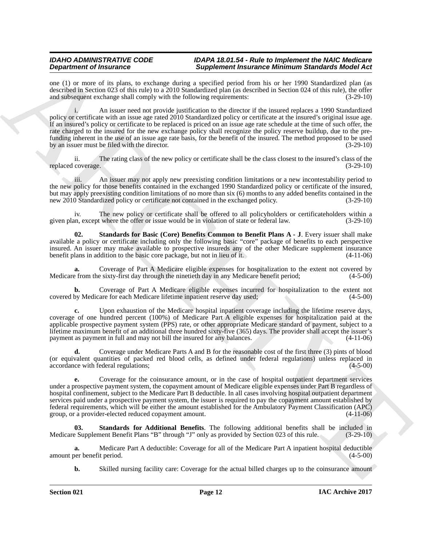one (1) or more of its plans, to exchange during a specified period from his or her 1990 Standardized plan (as described in Section 023 of this rule) to a 2010 Standardized plan (as described in Section 024 of this rule), the offer and subsequent exchange shall comply with the following requirements: (3-29-10)

**Dependent of Hencare Constraints of Supplementari interactions of the simulation of the Supplement of Hencare Constraints of the Supplement of Hencare Constraints of the Supplement of the Supplement of the Supplement of** i. An issuer need not provide justification to the director if the insured replaces a 1990 Standardized policy or certificate with an issue age rated 2010 Standardized policy or certificate at the insured's original issue age. If an insured's policy or certificate to be replaced is priced on an issue age rate schedule at the time of such offer, the rate charged to the insured for the new exchange policy shall recognize the policy reserve buildup, due to the prefunding inherent in the use of an issue age rate basis, for the benefit of the insured. The method proposed to be used by an issuer must be filed with the director. (3-29-10)

ii. The rating class of the new policy or certificate shall be the class closest to the insured's class of the replaced coverage.

iii. An issuer may not apply new preexisting condition limitations or a new incontestability period to the new policy for those benefits contained in the exchanged 1990 Standardized policy or certificate of the insured, but may apply preexisting condition limitations of no more than six (6) months to any added benefits contained in the new 2010 Standardized policy or certificate not contained in the exchanged policy. (3-29-10) new 2010 Standardized policy or certificate not contained in the exchanged policy.

iv. The new policy or certificate shall be offered to all policyholders or certificateholders within a<br>in, except where the offer or issue would be in violation of state or federal law. (3-29-10) given plan, except where the offer or issue would be in violation of state or federal law.

<span id="page-11-1"></span>**02. Standards for Basic (Core) Benefits Common to Benefit Plans A - J**. Every issuer shall make available a policy or certificate including only the following basic "core" package of benefits to each perspective insured. An issuer may make available to prospective insureds any of the other Medicare supplement insurance benefit plans in addition to the basic core package, but not in lieu of it.

**a.** Coverage of Part A Medicare eligible expenses for hospitalization to the extent not covered by effrom the sixty-first day through the ninetieth day in any Medicare benefit period; (4-5-00) Medicare from the sixty-first day through the ninetieth day in any Medicare benefit period;

**b.** Coverage of Part A Medicare eligible expenses incurred for hospitalization to the extent not by Medicare for each Medicare lifetime inpatient reserve day used; (4-5-00) covered by Medicare for each Medicare lifetime inpatient reserve day used;

**c.** Upon exhaustion of the Medicare hospital inpatient coverage including the lifetime reserve days, coverage of one hundred percent (100%) of Medicare Part A eligible expenses for hospitalization paid at the applicable prospective payment system (PPS) rate, or other appropriate Medicare standard of payment, subject to a lifetime maximum benefit of an additional three hundred sixty-five (365) days. The provider shall accept the issuer's payment as payment in full and may not bill the insured for any balances. (4-11-06)

**d.** Coverage under Medicare Parts A and B for the reasonable cost of the first three (3) pints of blood (or equivalent quantities of packed red blood cells, as defined under federal regulations) unless replaced in accordance with federal regulations;

**e.** Coverage for the coinsurance amount, or in the case of hospital outpatient department services under a prospective payment system, the copayment amount of Medicare eligible expenses under Part B regardless of hospital confinement, subject to the Medicare Part B deductible. In all cases involving hospital outpatient department services paid under a prospective payment system, the issuer is required to pay the copayment amount established by federal requirements, which will be either the amount established for the Ambulatory Payment Classification (APC) group, or a provider-elected reduced copayment amount. (4-11-06)

<span id="page-11-0"></span>**03. Standards for Additional Benefits**. The following additional benefits shall be included in Medicare Supplement Benefit Plans "B" through "J" only as provided by Section 023 of this rule. (3-29-10)

**a.** Medicare Part A deductible: Coverage for all of the Medicare Part A inpatient hospital deductible over benefit period.  $(4-5-00)$ amount per benefit period.

**b.** Skilled nursing facility care: Coverage for the actual billed charges up to the coinsurance amount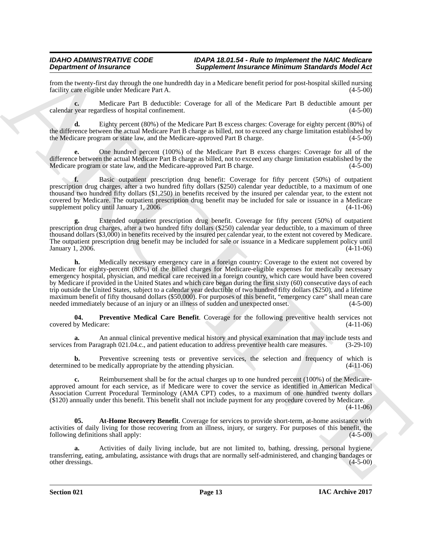from the twenty-first day through the one hundredth day in a Medicare benefit period for post-hospital skilled nursing facility care eligible under Medicare Part A. facility care eligible under Medicare Part A.

**c.** Medicare Part B deductible: Coverage for all of the Medicare Part B deductible amount per calendar year regardless of hospital confinement. (4-5-00)

**d.** Eighty percent (80%) of the Medicare Part B excess charges: Coverage for eighty percent (80%) of the difference between the actual Medicare Part B charge as billed, not to exceed any charge limitation established by the Medicare program or state law, and the Medicare-approved Part B charge. (4-5-00)

**e.** One hundred percent (100%) of the Medicare Part B excess charges: Coverage for all of the difference between the actual Medicare Part B charge as billed, not to exceed any charge limitation established by the Medicare program or state law, and the Medicare-approved Part B charge. (4-5-00) Medicare program or state law, and the Medicare-approved Part B charge.

**f.** Basic outpatient prescription drug benefit: Coverage for fifty percent (50%) of outpatient prescription drug charges, after a two hundred fifty dollars (\$250) calendar year deductible, to a maximum of one thousand two hundred fifty dollars (\$1,250) in benefits received by the insured per calendar year, to the extent not covered by Medicare. The outpatient prescription drug benefit may be included for sale or issuance in a Medicare supplement policy until January 1, 2006. (4-11-06)

**g.** Extended outpatient prescription drug benefit. Coverage for fifty percent (50%) of outpatient prescription drug charges, after a two hundred fifty dollars (\$250) calendar year deductible, to a maximum of three thousand dollars (\$3,000) in benefits received by the insured per calendar year, to the extent not covered by Medicare. The outpatient prescription drug benefit may be included for sale or issuance in a Medicare supplement policy until January 1, 2006. (4-11-06)

**Experimente Christmass of European Christmass of European Christmass of the European Christmass of the European Christmass of the European Christmass of the European Christmass of the European Christmass of the European h.** Medically necessary emergency care in a foreign country: Coverage to the extent not covered by Medicare for eighty-percent (80%) of the billed charges for Medicare-eligible expenses for medically necessary emergency hospital, physician, and medical care received in a foreign country, which care would have been covered by Medicare if provided in the United States and which care began during the first sixty (60) consecutive days of each trip outside the United States, subject to a calendar year deductible of two hundred fifty dollars (\$250), and a lifetime maximum benefit of fifty thousand dollars (\$50,000). For purposes of this benefit, "emergency care" shall mean care needed immediately because of an injury or an illness of sudden and unexpected onset. (4-5-00)

<span id="page-12-1"></span>**04. Preventive Medical Care Benefit**. Coverage for the following preventive health services not covered by Medicare: (4-11-06)

**a.** An annual clinical preventive medical history and physical examination that may include tests and services from Paragraph 021.04.c., and patient education to address preventive health care measures. (3-29-10)

**b.** Preventive screening tests or preventive services, the selection and frequency of which is ed to be medically appropriate by the attending physician. (4-11-06) determined to be medically appropriate by the attending physician.

**c.** Reimbursement shall be for the actual charges up to one hundred percent (100%) of the Medicareapproved amount for each service, as if Medicare were to cover the service as identified in American Medical Association Current Procedural Terminology (AMA CPT) codes, to a maximum of one hundred twenty dollars (\$120) annually under this benefit. This benefit shall not include payment for any procedure covered by Medicare.

(4-11-06)

<span id="page-12-0"></span>**05.** At-Home Recovery Benefit. Coverage for services to provide short-term, at-home assistance with activities of daily living for those recovering from an illness, injury, or surgery. For purposes of this benefit, the following definitions shall apply: (4-5-00)

**a.** Activities of daily living include, but are not limited to, bathing, dressing, personal hygiene, transferring, eating, ambulating, assistance with drugs that are normally self-administered, and changing bandages or other dressings.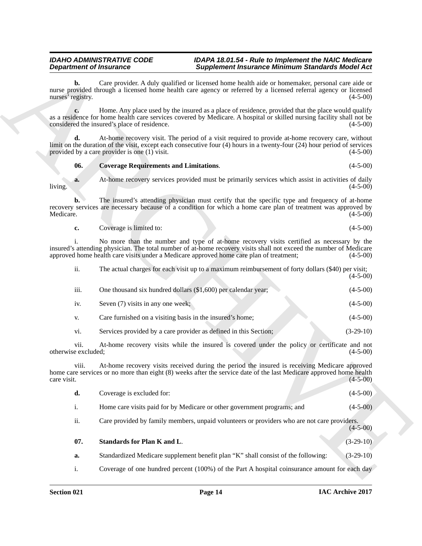## <span id="page-13-0"></span>**06. Coverage Requirements and Limitations**. (4-5-00)

| Coverage is limited to: | $(4-5-00)$ |
|-------------------------|------------|
|                         |            |

| <b>Department of Insurance</b> |                                                           | <b>Supplement Insurance Minimum Standards Model Act</b>                                                                                                                                                                                                                                                    |             |
|--------------------------------|-----------------------------------------------------------|------------------------------------------------------------------------------------------------------------------------------------------------------------------------------------------------------------------------------------------------------------------------------------------------------------|-------------|
| b.<br>nurses' registry.        |                                                           | Care provider. A duly qualified or licensed home health aide or homemaker, personal care aide or<br>nurse provided through a licensed home health care agency or referred by a licensed referral agency or licensed                                                                                        | $(4-5-00)$  |
| c.                             | considered the insured's place of residence.              | Home. Any place used by the insured as a place of residence, provided that the place would qualify<br>as a residence for home health care services covered by Medicare. A hospital or skilled nursing facility shall not be                                                                                | $(4-5-00)$  |
| d.                             | provided by a care provider is one $(1)$ visit.           | At-home recovery visit. The period of a visit required to provide at-home recovery care, without<br>limit on the duration of the visit, except each consecutive four (4) hours in a twenty-four (24) hour period of services                                                                               | $(4-5-00)$  |
| 06.                            | <b>Coverage Requirements and Limitations.</b>             |                                                                                                                                                                                                                                                                                                            | $(4-5-00)$  |
| a.<br>living.                  |                                                           | At-home recovery services provided must be primarily services which assist in activities of daily                                                                                                                                                                                                          | $(4-5-00)$  |
| b.<br>Medicare.                |                                                           | The insured's attending physician must certify that the specific type and frequency of at-home<br>recovery services are necessary because of a condition for which a home care plan of treatment was approved by                                                                                           | $(4-5-00)$  |
| c.                             | Coverage is limited to:                                   |                                                                                                                                                                                                                                                                                                            | $(4-5-00)$  |
|                                |                                                           | No more than the number and type of at-home recovery visits certified as necessary by the<br>insured's attending physician. The total number of at-home recovery visits shall not exceed the number of Medicare<br>approved home health care visits under a Medicare approved home care plan of treatment; | $(4-5-00)$  |
| ii.                            |                                                           | The actual charges for each visit up to a maximum reimbursement of forty dollars (\$40) per visit;                                                                                                                                                                                                         | $(4-5-00)$  |
| iii.                           |                                                           | One thousand six hundred dollars (\$1,600) per calendar year;                                                                                                                                                                                                                                              | $(4-5-00)$  |
| iv.                            | Seven (7) visits in any one week;                         |                                                                                                                                                                                                                                                                                                            | $(4-5-00)$  |
| V.                             | Care furnished on a visiting basis in the insured's home; |                                                                                                                                                                                                                                                                                                            | $(4-5-00)$  |
| vi.                            |                                                           | Services provided by a care provider as defined in this Section;                                                                                                                                                                                                                                           | $(3-29-10)$ |
| vii.<br>otherwise excluded;    |                                                           | At-home recovery visits while the insured is covered under the policy or certificate and not                                                                                                                                                                                                               | $(4-5-00)$  |
| V111.<br>care visit.           |                                                           | At-home recovery visits received during the period the insured is receiving Medicare approved<br>home care services or no more than eight (8) weeks after the service date of the last Medicare approved home health                                                                                       | $(4-5-00)$  |
| d.                             | Coverage is excluded for:                                 |                                                                                                                                                                                                                                                                                                            | $(4-5-00)$  |
| i.                             |                                                           | Home care visits paid for by Medicare or other government programs; and                                                                                                                                                                                                                                    | $(4-5-00)$  |
| ii.                            |                                                           | Care provided by family members, unpaid volunteers or providers who are not care providers.                                                                                                                                                                                                                | $(4-5-00)$  |
| 07.                            | Standards for Plan K and L.                               |                                                                                                                                                                                                                                                                                                            | $(3-29-10)$ |
|                                |                                                           |                                                                                                                                                                                                                                                                                                            |             |
| a.                             |                                                           | Standardized Medicare supplement benefit plan "K" shall consist of the following:                                                                                                                                                                                                                          | $(3-29-10)$ |

| d.  | Coverage is excluded for:                                                                   | $(4-5-00)$ |
|-----|---------------------------------------------------------------------------------------------|------------|
|     | Home care visits paid for by Medicare or other government programs; and                     | $(4-5-00)$ |
| ii. | Care provided by family members, unpaid volunteers or providers who are not care providers. | $(4-5-00)$ |

<span id="page-13-1"></span>

| - 07. | Standards for Plan K and L.                                                       | $(3-29-10)$ |
|-------|-----------------------------------------------------------------------------------|-------------|
| а.    | Standardized Medicare supplement benefit plan "K" shall consist of the following: | $(3-29-10)$ |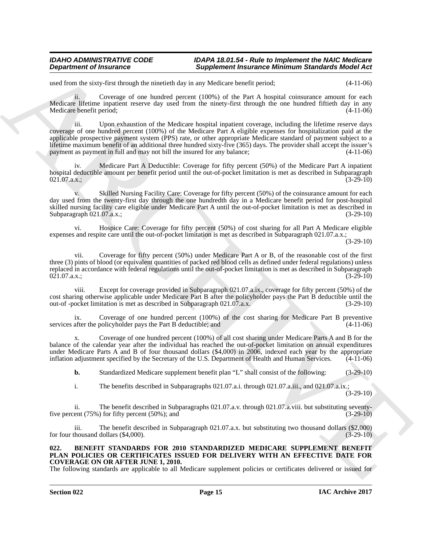used from the sixty-first through the ninetieth day in any Medicare benefit period; (4-11-06)

ii. Coverage of one hundred percent (100%) of the Part A hospital coinsurance amount for each Medicare lifetime inpatient reserve day used from the ninety-first through the one hundred fiftieth day in any Medicare benefit period; (4-11-06)

**Department of Instance Complete Supplement Instantion Minimum Sanchards Michael Act<br>
and the simulation of the Michael Act and the Supplement Instantion Complete Supplement Instantion of the Supplement Complete Supplemen** iii. Upon exhaustion of the Medicare hospital inpatient coverage, including the lifetime reserve days coverage of one hundred percent (100%) of the Medicare Part A eligible expenses for hospitalization paid at the applicable prospective payment system (PPS) rate, or other appropriate Medicare standard of payment subject to a lifetime maximum benefit of an additional three hundred sixty-five (365) days. The provider shall accept the issuer's payment as payment in full and may not bill the insured for any balance; (4-11-06)

iv. Medicare Part A Deductible: Coverage for fifty percent (50%) of the Medicare Part A inpatient hospital deductible amount per benefit period until the out-of-pocket limitation is met as described in Subparagraph  $021.07.\text{a.x.};$  (3-29-10)

v. Skilled Nursing Facility Care: Coverage for fifty percent (50%) of the coinsurance amount for each day used from the twenty-first day through the one hundredth day in a Medicare benefit period for post-hospital skilled nursing facility care eligible under Medicare Part A until the out-of-pocket limitation is met as described in Subparagraph 021.07.a.x.; (3-29-10)

vi. Hospice Care: Coverage for fifty percent (50%) of cost sharing for all Part A Medicare eligible expenses and respite care until the out-of-pocket limitation is met as described in Subparagraph 021.07.a.x.;

(3-29-10)

vii. Coverage for fifty percent (50%) under Medicare Part A or B, of the reasonable cost of the first three (3) pints of blood (or equivalent quantities of packed red blood cells as defined under federal regulations) unless replaced in accordance with federal regulations until the out-of-pocket limitation is met as described in Subparagraph 021.07.a.x.;<br>(3-29-10)  $021.07.\text{a.x.};$  (3-29-10)

viii. Except for coverage provided in Subparagraph 021.07.a.ix., coverage for fifty percent (50%) of the cost sharing otherwise applicable under Medicare Part B after the policyholder pays the Part B deductible until the out-of -pocket limitation is met as described in Subparagraph 021.07.a.x. (3-29-10)

ix. Coverage of one hundred percent (100%) of the cost sharing for Medicare Part B preventive after the policyholder pays the Part B deductible; and (4-11-06) services after the policyholder pays the Part B deductible; and

x. Coverage of one hundred percent (100%) of all cost sharing under Medicare Parts A and B for the balance of the calendar year after the individual has reached the out-of-pocket limitation on annual expenditures under Medicare Parts A and B of four thousand dollars (\$4,000) in 2006, indexed each year by the appropriate inflation adjustment specified by the Secretary of the U.S. Department of Health and Human Services. (4-11-06)

**b.** Standardized Medicare supplement benefit plan "L" shall consist of the following: (3-29-10)

i. The benefits described in Subparagraphs 021.07.a.i. through 021.07.a.iii., and 021.07.a.ix.; (3-29-10)

ii. The benefit described in Subparagraphs 021.07.a.v. through 021.07.a.viii. but substituting seventy-<br>ent  $(75%)$  for fifty percent  $(50%)$ ; and  $(3-29-10)$ five percent  $(75%)$  for fifty percent  $(50%)$ ; and

iii. The benefit described in Subparagraph 021.07.a.x. but substituting two thousand dollars (\$2,000) for four thousand dollars  $(\text{\$4,000}).$  (3-29-10)

### <span id="page-14-1"></span><span id="page-14-0"></span>**022. BENEFIT STANDARDS FOR 2010 STANDARDIZED MEDICARE SUPPLEMENT BENEFIT PLAN POLICIES OR CERTIFICATES ISSUED FOR DELIVERY WITH AN EFFECTIVE DATE FOR COVERAGE ON OR AFTER JUNE 1, 2010.**

The following standards are applicable to all Medicare supplement policies or certificates delivered or issued for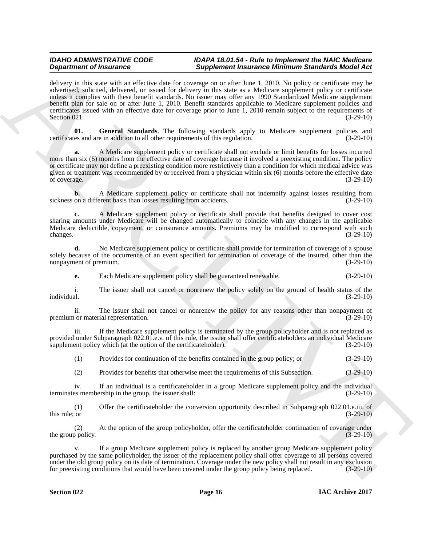**Experimental Theorem control to the control term in the set of the set of the set of the set of the set of the set of the set of the set of the set of the set of the set of the set of the set of the set of the set of the** delivery in this state with an effective date for coverage on or after June 1, 2010. No policy or certificate may be advertised, solicited, delivered, or issued for delivery in this state as a Medicare supplement policy or certificate unless it complies with these benefit standards. No issuer may offer any 1990 Standardized Medicare supplement benefit plan for sale on or after June 1, 2010. Benefit standards applicable to Medicare supplement policies and certificates issued with an effective date for coverage prior to June 1, 2010 remain subject to the requirements of Section 021. (3-29-10) Section 021.  $(3-29-10)$ 

<span id="page-15-0"></span>**01. General Standards**. The following standards apply to Medicare supplement policies and certificates and are in addition to all other requirements of this regulation. (3-29-10)

**a.** A Medicare supplement policy or certificate shall not exclude or limit benefits for losses incurred more than six (6) months from the effective date of coverage because it involved a preexisting condition. The policy or certificate may not define a preexisting condition more restrictively than a condition for which medical advice was given or treatment was recommended by or received from a physician within six (6) months before the effective date of coverage.  $(3-29-10)$ 

**b.** A Medicare supplement policy or certificate shall not indemnify against losses resulting from a different basis than losses resulting from accidents. (3-29-10) sickness on a different basis than losses resulting from accidents.

**c.** A Medicare supplement policy or certificate shall provide that benefits designed to cover cost sharing amounts under Medicare will be changed automatically to coincide with any changes in the applicable Medicare deductible, copayment, or coinsurance amounts. Premiums may be modified to correspond with such changes. (3-29-10) changes. (3-29-10)

**d.** No Medicare supplement policy or certificate shall provide for termination of coverage of a spouse solely because of the occurrence of an event specified for termination of coverage of the insured, other than the nonpayment of premium. (3-29-10) nonpayment of premium.

**e.** Each Medicare supplement policy shall be guaranteed renewable. (3-29-10)

i. The issuer shall not cancel or nonrenew the policy solely on the ground of health status of the individual.  $(3-29-10)$ individual. (3-29-10)

ii. The issuer shall not cancel or nonrenew the policy for any reasons other than nonpayment of the or material representation. (3-29-10) premium or material representation.

iii. If the Medicare supplement policy is terminated by the group policyholder and is not replaced as provided under Subparagraph 022.01.e.v. of this rule, the issuer shall offer certificateholders an individual Medicare supplement policy which (at the option of the certificateholder): (3-29-10)

(1) Provides for continuation of the benefits contained in the group policy; or (3-29-10)

(2) Provides for benefits that otherwise meet the requirements of this Subsection. (3-29-10)

iv. If an individual is a certificateholder in a group Medicare supplement policy and the individual es membership in the group, the issuer shall: (3-29-10) terminates membership in the group, the issuer shall:

(1) Offer the certificateholder the conversion opportunity described in Subparagraph 022.01.e.iii. of this rule; or  $(3-29-10)$ 

(2) At the option of the group policyholder, offer the certificateholder continuation of coverage under the group policy.  $(3-29-10)$ 

If a group Medicare supplement policy is replaced by another group Medicare supplement policy purchased by the same policyholder, the issuer of the replacement policy shall offer coverage to all persons covered under the old group policy on its date of termination. Coverage under the new policy shall not result in any exclusion<br>for preexisting conditions that would have been covered under the group policy being replaced. (3-29-10 for preexisting conditions that would have been covered under the group policy being replaced.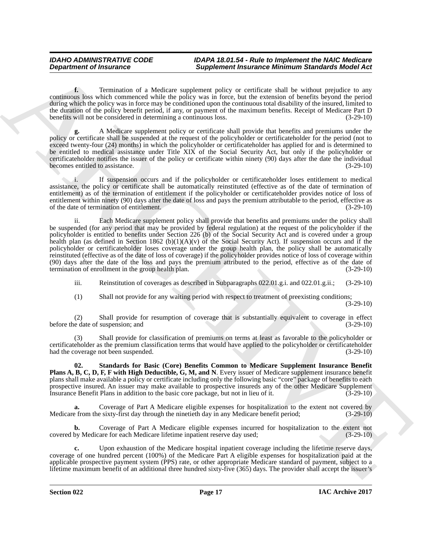**f.** Termination of a Medicare supplement policy or certificate shall be without prejudice to any continuous loss which commenced while the policy was in force, but the extension of benefits beyond the period during which the policy was in force may be conditioned upon the continuous total disability of the insured, limited to the duration of the policy benefit period, if any, or payment of the maximum benefits. Receipt of Medicare Part D benefits will not be considered in determining a continuous loss. (3-29-10)

**g.** A Medicare supplement policy or certificate shall provide that benefits and premiums under the policy or certificate shall be suspended at the request of the policyholder or certificateholder for the period (not to exceed twenty-four (24) months) in which the policyholder or certificateholder has applied for and is determined to be entitled to medical assistance under Title XIX of the Social Security Act, but only if the policyholder or certificateholder notifies the issuer of the policy or certificate within ninety (90) days after the date the individual becomes entitled to assistance.

i. If suspension occurs and if the policyholder or certificateholder loses entitlement to medical assistance, the policy or certificate shall be automatically reinstituted (effective as of the date of termination of entitlement) as of the termination of entitlement if the policyholder or certificateholder provides notice of loss of entitlement within ninety (90) days after the date of loss and pays the premium attributable to the period, effective as of the date of termination of entitlement. (3-29-10)

**Department of Insurance Completions (Representation and the set of the set of the set of the set of the set of the set of the set of the set of the set of the set of the set of the set of the set of the set of the set of** ii. Each Medicare supplement policy shall provide that benefits and premiums under the policy shall be suspended (for any period that may be provided by federal regulation) at the request of the policyholder if the policyholder is entitled to benefits under Section 226 (b) of the Social Security Act and is covered under a group health plan (as defined in Section 1862 (b)(1)(A)(v) of the Social Security Act). If suspension occurs and if the policyholder or certificateholder loses coverage under the group health plan, the policy shall be automatically reinstituted (effective as of the date of loss of coverage) if the policyholder provides notice of loss of coverage within (90) days after the date of the loss and pays the premium attributed to the period, effective as of the date of termination of enrollment in the group health plan. (3-29-10) termination of enrollment in the group health plan.

iii. Reinstitution of coverages as described in Subparagraphs 022.01.g.i. and 022.01.g.ii.; (3-29-10)

(1) Shall not provide for any waiting period with respect to treatment of preexisting conditions;

(3-29-10)

(2) Shall provide for resumption of coverage that is substantially equivalent to coverage in effect before the date of suspension; and

(3) Shall provide for classification of premiums on terms at least as favorable to the policyholder or certificateholder as the premium classification terms that would have applied to the policyholder or certificateholder<br>had the coverage not been suspended. (3-29-10) had the coverage not been suspended.

<span id="page-16-0"></span>**02. Standards for Basic (Core) Benefits Common to Medicare Supplement Insurance Benefit Plans A, B, C, D, F, F with High Deductible, G, M, and N**. Every issuer of Medicare supplement insurance benefit plans shall make available a policy or certificate including only the following basic "core" package of benefits to each prospective insured. An issuer may make available to prospective insureds any of the other Medicare Supplement<br>Insurance Benefit Plans in addition to the basic core package, but not in lieu of it. (3-29-10) Insurance Benefit Plans in addition to the basic core package, but not in lieu of it. (3-29-10)

Coverage of Part A Medicare eligible expenses for hospitalization to the extent not covered by e sixty-first day through the ninetieth day in any Medicare benefit period; (3-29-10) Medicare from the sixty-first day through the ninetieth day in any Medicare benefit period;

**b.** Coverage of Part A Medicare eligible expenses incurred for hospitalization to the extent not covered by Medicare for each Medicare lifetime inpatient reserve day used; (3-29-10)

**c.** Upon exhaustion of the Medicare hospital inpatient coverage including the lifetime reserve days, coverage of one hundred percent (100%) of the Medicare Part A eligible expenses for hospitalization paid at the applicable prospective payment system (PPS) rate, or other appropriate Medicare standard of payment, subject to a lifetime maximum benefit of an additional three hundred sixty-five (365) days. The provider shall accept the issuer's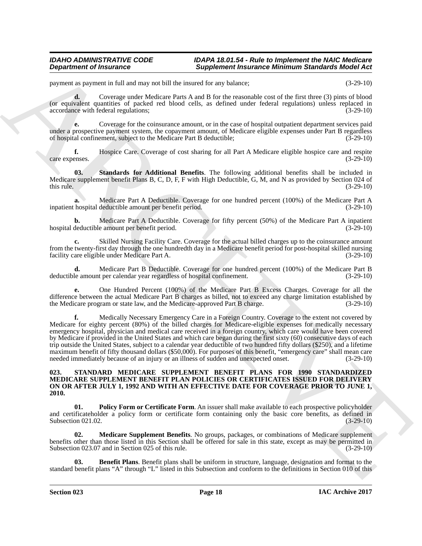payment as payment in full and may not bill the insured for any balance; (3-29-10)

**d.** Coverage under Medicare Parts A and B for the reasonable cost of the first three (3) pints of blood (or equivalent quantities of packed red blood cells, as defined under federal regulations) unless replaced in accordance with federal regulations; (3-29-10)

**e.** Coverage for the coinsurance amount, or in the case of hospital outpatient department services paid under a prospective payment system, the copayment amount, of Medicare eligible expenses under Part B regardless of hospital confinement, subject to the Medicare Part B deductible; (3-29-10)

**f.** Hospice Care. Coverage of cost sharing for all Part A Medicare eligible hospice care and respite enses. (3-29-10) care expenses.

<span id="page-17-1"></span>**03. Standards for Additional Benefits**. The following additional benefits shall be included in Medicare supplement benefit Plans B, C, D, F, F with High Deductible, G, M, and N as provided by Section 024 of this rule. (3-29-10) this rule.  $(3-29-10)$ 

**a.** Medicare Part A Deductible. Coverage for one hundred percent (100%) of the Medicare Part A inpatient hospital deductible amount per benefit period. (3-29-10)

**b.** Medicare Part A Deductible. Coverage for fifty percent (50%) of the Medicare Part A inpatient deductible amount per benefit period. (3-29-10) hospital deductible amount per benefit period.

Skilled Nursing Facility Care. Coverage for the actual billed charges up to the coinsurance amount from the twenty-first day through the one hundredth day in a Medicare benefit period for post-hospital skilled nursing facility care eligible under Medicare Part A. (3-29-10) facility care eligible under Medicare Part A.

**d.** Medicare Part B Deductible. Coverage for one hundred percent (100%) of the Medicare Part B le amount per calendar year regardless of hospital confinement. (3-29-10) deductible amount per calendar year regardless of hospital confinement.

**e.** One Hundred Percent (100%) of the Medicare Part B Excess Charges. Coverage for all the difference between the actual Medicare Part B charges as billed, not to exceed any charge limitation established by the Medicare program or state law, and the Medicare-approved Part B charge. (3-29-10)

**Department of Instantance Supplement Instantance Minimum Sanchards Michael Applement Instantance Supplement Instantance Minimum Sanchards Michael Applement Instantance Supplement Instantance Control in the second of th f.** Medically Necessary Emergency Care in a Foreign Country. Coverage to the extent not covered by Medicare for eighty percent (80%) of the billed charges for Medicare-eligible expenses for medically necessary emergency hospital, physician and medical care received in a foreign country, which care would have been covered by Medicare if provided in the United States and which care began during the first sixty (60) consecutive days of each trip outside the United States, subject to a calendar year deductible of two hundred fifty dollars (\$250), and a lifetime maximum benefit of fifty thousand dollars (\$50,000). For purposes of this benefit, "emergency care" shall mean care needed immediately because of an injury or an illness of sudden and unexpected onset. (3-29-10)

## <span id="page-17-2"></span><span id="page-17-0"></span>**023. STANDARD MEDICARE SUPPLEMENT BENEFIT PLANS FOR 1990 STANDARDIZED MEDICARE SUPPLEMENT BENEFIT PLAN POLICIES OR CERTIFICATES ISSUED FOR DELIVERY ON OR AFTER JULY 1, 1992 AND WITH AN EFFECTIVE DATE FOR COVERAGE PRIOR TO JUNE 1, 2010.**

<span id="page-17-5"></span>**Policy Form or Certificate Form.** An issuer shall make available to each prospective policyholder and certificateholder a policy form or certificate form containing only the basic core benefits, as defined in Subsection 021.02. (3-29-10) Subsection 021.02.

<span id="page-17-4"></span>**02. Medicare Supplement Benefits**. No groups, packages, or combinations of Medicare supplement benefits other than those listed in this Section shall be offered for sale in this state, except as may be permitted in Subsection 023.07 and in Section 025 of this rule. (3-29-10) (3-29-10)

<span id="page-17-3"></span>**03. Benefit Plans**. Benefit plans shall be uniform in structure, language, designation and format to the standard benefit plans "A" through "L" listed in this Subsection and conform to the definitions in Section 010 of this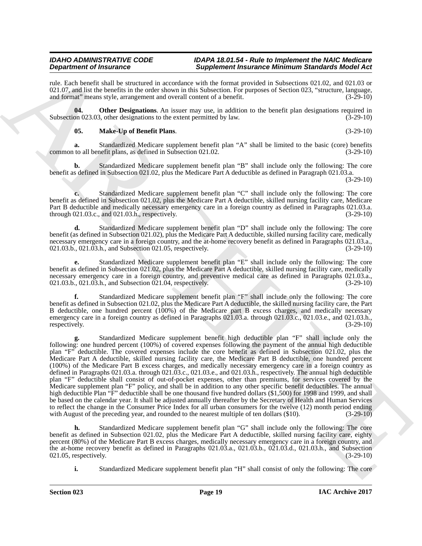rule. Each benefit shall be structured in accordance with the format provided in Subsections 021.02, and 021.03 or 021.07, and list the benefits in the order shown in this Subsection. For purposes of Section 023, "structure, language, and format" means style, arrangement and overall content of a benefit. (3-29-10) and format" means style, arrangement and overall content of a benefit.

**04. Other Designations**. An issuer may use, in addition to the benefit plan designations required in on 023.03, other designations to the extent permitted by law. (3-29-10) Subsection 023.03, other designations to the extent permitted by law.

## <span id="page-18-1"></span><span id="page-18-0"></span>**05. Make-Up of Benefit Plans**. (3-29-10)

**a.** Standardized Medicare supplement benefit plan "A" shall be limited to the basic (core) benefits to all benefit plans, as defined in Subsection 021.02. (3-29-10) common to all benefit plans, as defined in Subsection 021.02.

**b.** Standardized Medicare supplement benefit plan "B" shall include only the following: The core benefit as defined in Subsection 021.02, plus the Medicare Part A deductible as defined in Paragraph 021.03.a.

(3-29-10)

**c.** Standardized Medicare supplement benefit plan "C" shall include only the following: The core benefit as defined in Subsection 021.02, plus the Medicare Part A deductible, skilled nursing facility care, Medicare Part B deductible and medically necessary emergency care in a foreign country as defined in Paragraphs 021.03.a. through 021.03.c., and 021.03.h., respectively. (3-29-10)

**d.** Standardized Medicare supplement benefit plan "D" shall include only the following: The core benefit (as defined in Subsection 021.02), plus the Medicare Part A deductible, skilled nursing facility care, medically necessary emergency care in a foreign country, and the at-home recovery benefit as defined in Paragraphs 021.03.a., 021.03.b., 021.03.h., and Subsection 021.05, respectively. (3-29-10)

**e.** Standardized Medicare supplement benefit plan "E" shall include only the following: The core benefit as defined in Subsection 021.02, plus the Medicare Part A deductible, skilled nursing facility care, medically necessary emergency care in a foreign country, and preventive medical care as defined in Paragraphs 021.03.a., 021.03.h., and Subsection 021.04, respectively. (3-29-10) 021.03.b., 021.03.h., and Subsection 021.04, respectively.

**f.** Standardized Medicare supplement benefit plan "F" shall include only the following: The core benefit as defined in Subsection 021.02, plus the Medicare Part A deductible, the skilled nursing facility care, the Part B deductible, one hundred percent (100%) of the Medicare part B excess charges, and medically necessary emergency care in a foreign country as defined in Paragraphs 021.03.a. through 021.03.c., 021.03.e., and 021.03.h., respectively. (3-29-10) respectively. (3-29-10) (3-29-10)

**Dependent of Francoise Construction** Simple the state interaction in the state in the state in the state in the state in the state in the state in the state in the state in the state in the state in the state in the stat **g.** Standardized Medicare supplement benefit high deductible plan "F" shall include only the following: one hundred percent (100%) of covered expenses following the payment of the annual high deductible plan "F" deductible. The covered expenses include the core benefit as defined in Subsection 021.02, plus the Medicare Part A deductible, skilled nursing facility care, the Medicare Part B deductible, one hundred percent (100%) of the Medicare Part B excess charges, and medically necessary emergency care in a foreign country as defined in Paragraphs 021.03.a. through 021.03.c., 021.03.e., and 021.03.h., respectively. The annual high deductible plan "F" deductible shall consist of out-of-pocket expenses, other than premiums, for services covered by the Medicare supplement plan "F" policy, and shall be in addition to any other specific benefit deductibles. The annual high deductible Plan "F" deductible shall be one thousand five hundred dollars (\$1,500) for 1998 and 1999, and shall be based on the calendar year. It shall be adjusted annually thereafter by the Secretary of Health and Human Services to reflect the change in the Consumer Price Index for all urban consumers for the twelve (12) month period ending with August of the preceding year, and rounded to the nearest multiple of ten dollars (\$10). (3-29-10) with August of the preceding year, and rounded to the nearest multiple of ten dollars  $(\$10)$ .

**h.** Standardized Medicare supplement benefit plan "G" shall include only the following: The core benefit as defined in Subsection 021.02, plus the Medicare Part A deductible, skilled nursing facility care, eighty percent (80%) of the Medicare Part B excess charges, medically necessary emergency care in a foreign country, and the at-home recovery benefit as defined in Paragraphs 021.03.a., 021.03.b., 021.03.d., 021.03.h., and Subsection 021.05, respectively.  $(3-29-10)$ 021.05, respectively.

**i.** Standardized Medicare supplement benefit plan "H" shall consist of only the following: The core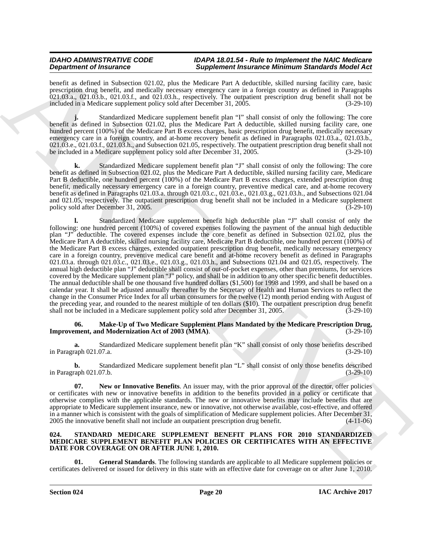benefit as defined in Subsection 021.02, plus the Medicare Part A deductible, skilled nursing facility care, basic prescription drug benefit, and medically necessary emergency care in a foreign country as defined in Paragraphs 021.03.a., 021.03.b., 021.03.f., and 021.03.h., respectively. The outpatient prescription drug benefit shall not be included in a Medicare supplement policy sold after December 31, 2005. (3-29-10)

**j.** Standardized Medicare supplement benefit plan "I" shall consist of only the following: The core benefit as defined in Subsection 021.02, plus the Medicare Part A deductible, skilled nursing facility care, one hundred percent (100%) of the Medicare Part B excess charges, basic prescription drug benefit, medically necessary emergency care in a foreign country, and at-home recovery benefit as defined in Paragraphs 021.03.a., 021.03.b., 021.03.e., 021.03.f., 021.03.h., and Subsection 021.05, respectively. The outpatient prescription drug benefit shall not be included in a Medicare supplement policy sold after December 31, 2005. (3-29-10)

**k.** Standardized Medicare supplement benefit plan "J" shall consist of only the following: The core benefit as defined in Subsection 021.02, plus the Medicare Part A deductible, skilled nursing facility care, Medicare Part B deductible, one hundred percent (100%) of the Medicare Part B excess charges, extended prescription drug benefit, medically necessary emergency care in a foreign country, preventive medical care, and at-home recovery benefit as defined in Paragraphs 021.03.a. through 021.03.c., 021.03.e., 021.03.g., 021.03.h., and Subsections 021.04 and 021.05, respectively. The outpatient prescription drug benefit shall not be included in a Medicare supplement policy sold after December 31, 2005. (3-29-10)

**Experimental Theorem 2**<br>
Spacing Chinach Sophythes Chinach Sophythes Part is a spacing the state of the state of the state of the state of the state of the state of the state of the state of the state of the state of the **l.** Standardized Medicare supplement benefit high deductible plan "J" shall consist of only the following: one hundred percent (100%) of covered expenses following the payment of the annual high deductible plan "J" deductible. The covered expenses include the core benefit as defined in Subsection 021.02, plus the Medicare Part A deductible, skilled nursing facility care, Medicare Part B deductible, one hundred percent (100%) of the Medicare Part B excess charges, extended outpatient prescription drug benefit, medically necessary emergency care in a foreign country, preventive medical care benefit and at-home recovery benefit as defined in Paragraphs 021.03.a. through 021.03.c., 021.03.e., 021.03.g., 021.03.h., and Subsections 021.04 and 021.05, respectively. The annual high deductible plan "J" deductible shall consist of out-of-pocket expenses, other than premiums, for services covered by the Medicare supplement plan "J" policy, and shall be in addition to any other specific benefit deductibles. The annual deductible shall be one thousand five hundred dollars (\$1,500) for 1998 and 1999, and shall be based on a calendar year. It shall be adjusted annually thereafter by the Secretary of Health and Human Services to reflect the change in the Consumer Price Index for all urban consumers for the twelve (12) month period ending with August of the preceding year, and rounded to the nearest multiple of ten dollars (\$10). The outpatient prescription drug benefit shall not be included in a Medicare supplement policy sold after December 31, 2005. (3-29-10)

## <span id="page-19-1"></span>**06. Make-Up of Two Medicare Supplement Plans Mandated by the Medicare Prescription Drug, Improvement, and Modernization Act of 2003 (MMA).** (3-29-10)

Standardized Medicare supplement benefit plan "K" shall consist of only those benefits described (3-29-10)<br>(3-29-10) in Paragraph 021.07.a.

**b.** Standardized Medicare supplement benefit plan "L" shall consist of only those benefits described in Paragraph 021.07.b. (3-29-10)

<span id="page-19-2"></span>**07. New or Innovative Benefits**. An issuer may, with the prior approval of the director, offer policies or certificates with new or innovative benefits in addition to the benefits provided in a policy or certificate that otherwise complies with the applicable standards. The new or innovative benefits may include benefits that are appropriate to Medicare supplement insurance, new or innovative, not otherwise available, cost-effective, and offered in a manner which is consistent with the goals of simplification of Medicare supplement policies. After December 31, 2005 the innovative benefit shall not include an outpatient prescription drug benefit. (4-11-06) 2005 the innovative benefit shall not include an outpatient prescription drug benefit.

### <span id="page-19-3"></span><span id="page-19-0"></span>**024. STANDARD MEDICARE SUPPLEMENT BENEFIT PLANS FOR 2010 STANDARDIZED MEDICARE SUPPLEMENT BENEFIT PLAN POLICIES OR CERTIFICATES WITH AN EFFECTIVE DATE FOR COVERAGE ON OR AFTER JUNE 1, 2010.**

<span id="page-19-4"></span>**01. General Standards**. The following standards are applicable to all Medicare supplement policies or certificates delivered or issued for delivery in this state with an effective date for coverage on or after June 1, 2010.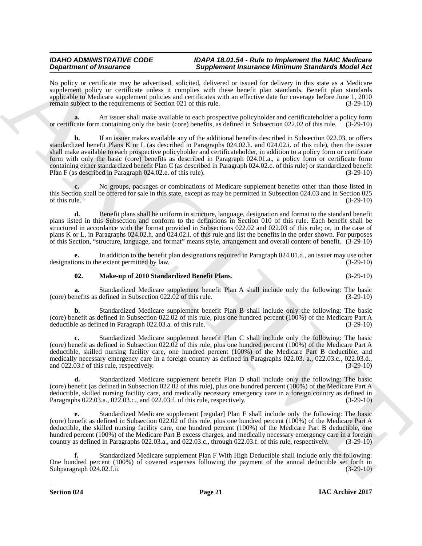No policy or certificate may be advertised, solicited, delivered or issued for delivery in this state as a Medicare supplement policy or certificate unless it complies with these benefit plan standards. Benefit plan standards applicable to Medicare supplement policies and certificates with an effective date for coverage before June 1, 2010 remain subject to the requirements of Section 021 of this rule. (3-29-10)

**a.** An issuer shall make available to each prospective policyholder and certificateholder a policy form or certificate form containing only the basic (core) benefits, as defined in Subsection 022.02 of this rule. (3-29-10)

**Dependent of Hustonic Complete Conservation Complete Complete Complete Complete Conservation Complete Conservation Complete Conservation Complete Conservation Complete Conservation Complete Conservation Complete Conserva b.** If an issuer makes available any of the additional benefits described in Subsection 022.03, or offers standardized benefit Plans K or L (as described in Paragraphs 024.02.h. and 024.02.i. of this rule), then the issuer shall make available to each prospective policyholder and certificateholder, in addition to a policy form or certificate form with only the basic (core) benefits as described in Paragraph 024.01.a., a policy form or certificate form containing either standardized benefit Plan C (as described in Paragraph 024.02.c. of this rule) or standardized benefit Plan F (as described in Paragraph 024.02.e. of this rule). (3-29-10)

**c.** No groups, packages or combinations of Medicare supplement benefits other than those listed in this Section shall be offered for sale in this state, except as may be permitted in Subsection 024.03 and in Section 025 of this rule.  $(3-29-10)$ 

**d.** Benefit plans shall be uniform in structure, language, designation and format to the standard benefit plans listed in this Subsection and conform to the definitions in Section 010 of this rule. Each benefit shall be structured in accordance with the format provided in Subsections 022.02 and 022.03 of this rule; or, in the case of plans K or L, in Paragraphs 024.02.h. and 024.02.i. of this rule and list the benefits in the order shown. For purposes of this Section, "structure, language, and format" means style, arrangement and overall content of benefit. (3-29-10)

**e.** In addition to the benefit plan designations required in Paragraph 024.01.d., an issuer may use other ions to the extent permitted by law.  $(3-29-10)$ designations to the extent permitted by law.

## <span id="page-20-0"></span>**02. Make-up of 2010 Standardized Benefit Plans**. (3-29-10)

**a.** Standardized Medicare supplement benefit Plan A shall include only the following: The basic mefits as defined in Subsection 022.02 of this rule.  $(3-29-10)$ (core) benefits as defined in Subsection  $022.\overline{02}$  of this rule.

**b.** Standardized Medicare supplement benefit Plan B shall include only the following: The basic (core) benefit as defined in Subsection  $022.02$  of this rule, plus one hundred percent (100%) of the Medicare Part A deductible as defined in Paragraph 022.03.a. of this rule. (3-29-10) deductible as defined in Paragraph 022.03.a. of this rule.

**c.** Standardized Medicare supplement benefit Plan C shall include only the following: The basic (core) benefit as defined in Subsection 022.02 of this rule, plus one hundred percent (100%) of the Medicare Part A deductible, skilled nursing facility care, one hundred percent (100%) of the Medicare Part B deductible, and medically necessary emergency care in a foreign country as defined in Paragraphs 022.03. a., 022.03.c., 022.03.d., and 022.03.f of this rule, respectively. and 022.03.f of this rule, respectively.

**d.** Standardized Medicare supplement benefit Plan D shall include only the following: The basic (core) benefit (as defined in Subsection 022.02 of this rule), plus one hundred percent (100%) of the Medicare Part A deductible, skilled nursing facility care, and medically necessary emergency care in a foreign country as defined in Paragraphs 022.03.a., 022.03.c., and 022.03.f. of this rule, respectively. (3-29-10)

**e.** Standardized Medicare supplement [regular] Plan F shall include only the following: The basic (core) benefit as defined in Subsection  $022.02$  of this rule, plus one hundred percent (100%) of the Medicare Part A deductible, the skilled nursing facility care, one hundred percent (100%) of the Medicare Part B deductible, one hundred percent (100%) of the Medicare Part B excess charges, and medically necessary emergency care in a foreign country as defined in Paragraphs 022.03.a., and 022.03.c., through 022.03.f. of this rule, respectively. (3-29-10)

**f.** Standardized Medicare supplement Plan F With High Deductible shall include only the following: One hundred percent (100%) of covered expenses following the payment of the annual deductible set forth in Subparagraph 024.02.f.ii. (3-29-10) Subparagraph 024.02.f.ii.

**Section 024 Page 21**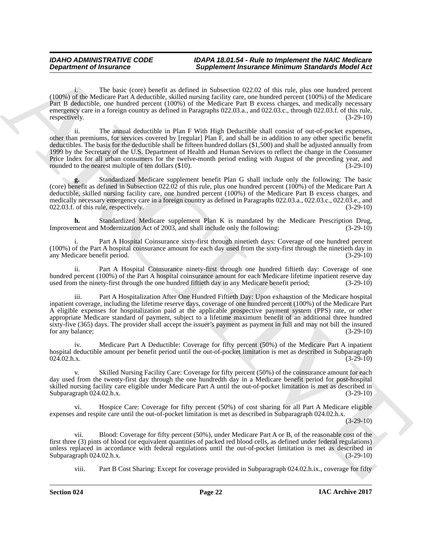i. The basic (core) benefit as defined in Subsection 022.02 of this rule, plus one hundred percent (100%) of the Medicare Part A deductible, skilled nursing facility care, one hundred percent (100%) of the Medicare Part B deductible, one hundred percent (100%) of the Medicare Part B excess charges, and medically necessary emergency care in a foreign country as defined in Paragraphs 022.03.a., and 022.03.c., through 022.03.f. of this rule, respectively. (3-29-10)

**Department of Freuence Constraints Completene Hermann Barriston Medicine and the test who was the test who was the test who was the state of the test who was the state of the state of the state of the state of the state** ii. The annual deductible in Plan F With High Deductible shall consist of out-of-pocket expenses, other than premiums, for services covered by [regular] Plan F, and shall be in addition to any other specific benefit deductibles. The basis for the deductible shall be fifteen hundred dollars (\$1,500) and shall be adjusted annually from 1999 by the Secretary of the U.S. Department of Health and Human Services to reflect the change in the Consumer Price Index for all urban consumers for the twelve-month period ending with August of the preceding year, and rounded to the nearest multiple of ten dollars (\$10). rounded to the nearest multiple of ten dollars  $(\$10)$ .

**g.** Standardized Medicare supplement benefit Plan G shall include only the following: The basic (core) benefit as defined in Subsection  $022.02$  of this rule, plus one hundred percent (100%) of the Medicare Part A deductible, skilled nursing facility care, one hundred percent (100%) of the Medicare Part B excess charges, and medically necessary emergency care in a foreign country as defined in Paragraphs 022.03.a., 022.03.c., 022.03.e., and  $022.03.f.$  of this rule, respectively.  $(3-29-10)$ 

**h.** Standardized Medicare supplement Plan K is mandated by the Medicare Prescription Drug, ment and Modernization Act of 2003, and shall include only the following: (3-29-10) Improvement and Modernization Act of 2003, and shall include only the following:

Part A Hospital Coinsurance sixty-first through ninetieth days: Coverage of one hundred percent (100%) of the Part A hospital coinsurance amount for each day used from the sixty-first through the ninetieth day in any Medicare benefit period.

ii. Part A Hospital Coinsurance ninety-first through one hundred fiftieth day: Coverage of one hundred percent (100%) of the Part A hospital coinsurance amount for each Medicare lifetime inpatient reserve day<br>used from the ninety-first through the one hundred fiftieth day in any Medicare benefit period: (3-29-10) used from the ninety-first through the one hundred fiftieth day in any Medicare benefit period;

iii. Part A Hospitalization After One Hundred Fiftieth Day: Upon exhaustion of the Medicare hospital inpatient coverage, including the lifetime reserve days, coverage of one hundred percent (100%) of the Medicare Part A eligible expenses for hospitalization paid at the applicable prospective payment system (PPS) rate, or other appropriate Medicare standard of payment, subject to a lifetime maximum benefit of an additional three hundred sixty-five (365) days. The provider shall accept the issuer's payment as payment in full and may not bill the insured for any balance; (3-29-10)

iv. Medicare Part A Deductible: Coverage for fifty percent (50%) of the Medicare Part A inpatient hospital deductible amount per benefit period until the out-of-pocket limitation is met as described in Subparagraph<br>(3-29-10)  $024.02 \text{ h.x.}$  (3-29-10)

Skilled Nursing Facility Care: Coverage for fifty percent (50%) of the coinsurance amount for each day used from the twenty-first day through the one hundredth day in a Medicare benefit period for post-hospital skilled nursing facility care eligible under Medicare Part A until the out-of-pocket limitation is met as described in Subparagraph 024.02.h.x.

Hospice Care: Coverage for fifty percent (50%) of cost sharing for all Part A Medicare eligible expenses and respite care until the out-of-pocket limitation is met as described in Subparagraph 024.02.h.x.

 $(3-29-10)$ 

Blood: Coverage for fifty percent (50%), under Medicare Part A or B, of the reasonable cost of the first three (3) pints of blood (or equivalent quantities of packed red blood cells, as defined under federal regulations) unless replaced in accordance with federal regulations until the out-of-pocket limitation is met as described in Subparagraph 024.02.h.x. (3-29-10) Subparagraph 024.02.h.x.

viii. Part B Cost Sharing: Except for coverage provided in Subparagraph 024.02.h.ix., coverage for fifty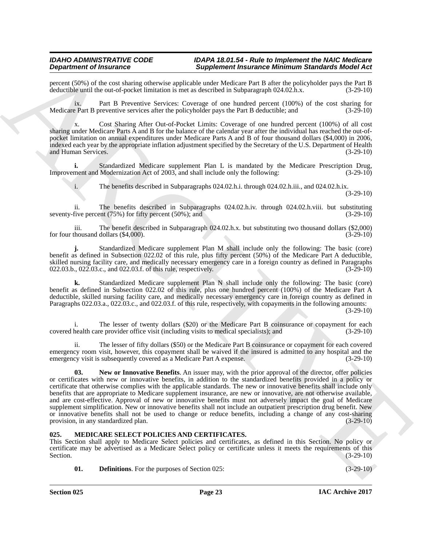percent (50%) of the cost sharing otherwise applicable under Medicare Part B after the policyholder pays the Part B deductible until the out-of-pocket limitation is met as described in Subparagraph 024.02.h.x.

ix. Part B Preventive Services: Coverage of one hundred percent (100%) of the cost sharing for Medicare Part B preventive services after the policyholder pays the Part B deductible; and (3-29-10)

x. Cost Sharing After Out-of-Pocket Limits: Coverage of one hundred percent (100%) of all cost sharing under Medicare Parts A and B for the balance of the calendar year after the individual has reached the out-ofpocket limitation on annual expenditures under Medicare Parts A and B of four thousand dollars (\$4,000) in 2006, indexed each year by the appropriate inflation adjustment specified by the Secretary of the U.S. Department of Health and Human Services.

**i.** Standardized Medicare supplement Plan L is mandated by the Medicare Prescription Drug, ment and Modernization Act of 2003, and shall include only the following: (3-29-10) Improvement and Modernization Act of 2003, and shall include only the following:

i. The benefits described in Subparagraphs 024.02.h.i. through 024.02.h.iii., and 024.02.h.ix.

(3-29-10)

ii. The benefits described in Subparagraphs 024.02.h.iv. through 024.02.h.viii. but substituting seventy-five percent  $(75%)$  for fifty percent  $(50%)$ ; and  $(3-29-10)$ 

iii. The benefit described in Subparagraph 024.02.h.x. but substituting two thousand dollars (\$2,000) for four thousand dollars  $(\$4,000)$ .

**j.** Standardized Medicare supplement Plan M shall include only the following: The basic (core) benefit as defined in Subsection 022.02 of this rule, plus fifty percent (50%) of the Medicare Part A deductible, skilled nursing facility care, and medically necessary emergency care in a foreign country as defined in Paragraphs 022.03.b., 022.03.c., and 022.03.f. of this rule, respectively. (3-29-10)

**k.** Standardized Medicare supplement Plan N shall include only the following: The basic (core) benefit as defined in Subsection 022.02 of this rule, plus one hundred percent (100%) of the Medicare Part A deductible, skilled nursing facility care, and medically necessary emergency care in foreign country as defined in Paragraphs 022.03.a., 022.03.c., and 022.03.f. of this rule, respectively, with copayments in the following amounts:

(3-29-10)

i. The lesser of twenty dollars (\$20) or the Medicare Part B coinsurance or copayment for each health care provider office visit (including visits to medical specialists); and (3-29-10) covered health care provider office visit (including visits to medical specialists); and

<span id="page-22-3"></span>The lesser of fifty dollars (\$50) or the Medicare Part B coinsurance or copayment for each covered emergency room visit, however, this copayment shall be waived if the insured is admitted to any hospital and the emergency visit is subsequently covered as a Medicare Part A expense. (3-29-10)

**Dependent of Franchesis Construction Simple and Simple Simple Research Entertainment Simple and Simple Simple ARCHIVES (1993) and Simple Simple Simple Simple Simple Simple Simple Simple Simple Simple Simple Simple Simple 03. New or Innovative Benefits**. An issuer may, with the prior approval of the director, offer policies or certificates with new or innovative benefits, in addition to the standardized benefits provided in a policy or certificate that otherwise complies with the applicable standards. The new or innovative benefits shall include only benefits that are appropriate to Medicare supplement insurance, are new or innovative, are not otherwise available, and are cost-effective. Approval of new or innovative benefits must not adversely impact the goal of Medicare supplement simplification. New or innovative benefits shall not include an outpatient prescription drug benefit. New or innovative benefits shall not be used to change or reduce benefits, including a change of any cost-sharing provision, in any standardized plan. (3-29-10) provision, in any standardized plan.

## <span id="page-22-1"></span><span id="page-22-0"></span>**025. MEDICARE SELECT POLICIES AND CERTIFICATES.**

This Section shall apply to Medicare Select policies and certificates, as defined in this Section. No policy or certificate may be advertised as a Medicare Select policy or certificate unless it meets the requirements of this Section.  $(3-29-10)$ 

<span id="page-22-2"></span>**01. Definitions**. For the purposes of Section 025: (3-29-10) (3-29-10)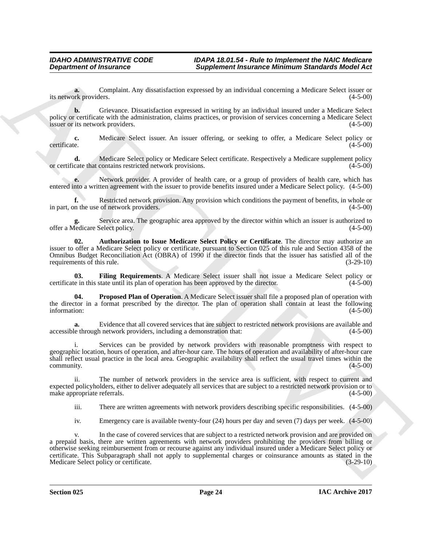**a.** Complaint. Any dissatisfaction expressed by an individual concerning a Medicare Select issuer or ork providers. (4-5-00) its network providers.

**b.** Grievance. Dissatisfaction expressed in writing by an individual insured under a Medicare Select policy or certificate with the administration, claims practices, or provision of services concerning a Medicare Select issuer or its network providers. (4-5-00) issuer or its network providers.

**c.** Medicare Select issuer. An issuer offering, or seeking to offer, a Medicare Select policy or certificate. (4-5-00)

**d.** Medicare Select policy or Medicare Select certificate. Respectively a Medicare supplement policy cate that contains restricted network provisions. (4-5-00) or certificate that contains restricted network provisions.

**e.** Network provider. A provider of health care, or a group of providers of health care, which has entered into a written agreement with the issuer to provide benefits insured under a Medicare Select policy. (4-5-00)

**f.** Restricted network provision. Any provision which conditions the payment of benefits, in whole or in part, on the use of network providers. (4-5-00)

Service area. The geographic area approved by the director within which an issuer is authorized to Select policy. (4-5-00) offer a Medicare Select policy.

<span id="page-23-0"></span>**02. Authorization to Issue Medicare Select Policy or Certificate**. The director may authorize an issuer to offer a Medicare Select policy or certificate, pursuant to Section 025 of this rule and Section 4358 of the Omnibus Budget Reconciliation Act (OBRA) of 1990 if the director finds that the issuer has satisfied all of the requirements of this rule. (3-29-10) requirements of this rule.

<span id="page-23-1"></span>**03. Filing Requirements**. A Medicare Select issuer shall not issue a Medicare Select policy or e in this state until its plan of operation has been approved by the director. (4-5-00) certificate in this state until its plan of operation has been approved by the director.

<span id="page-23-2"></span>**04. Proposed Plan of Operation**. A Medicare Select issuer shall file a proposed plan of operation with the director in a format prescribed by the director. The plan of operation shall contain at least the following information: (4-5-00) information: (4-5-00)

**a.** Evidence that all covered services that are subject to restricted network provisions are available and le through network providers, including a demonstration that: (4-5-00) accessible through network providers, including a demonstration that:

Services can be provided by network providers with reasonable promptness with respect to geographic location, hours of operation, and after-hour care. The hours of operation and availability of after-hour care shall reflect usual practice in the local area. Geographic availability shall reflect the usual travel times within the community. (4-5-00)

ii. The number of network providers in the service area is sufficient, with respect to current and expected policyholders, either to deliver adequately all services that are subject to a restricted network provision or to make appropriate referrals. (4-5-00) make appropriate referrals.

iii. There are written agreements with network providers describing specific responsibilities. (4-5-00)

iv. Emergency care is available twenty-four (24) hours per day and seven (7) days per week. (4-5-00)

**Department of Insurance \*\*\*\*\*\*\*\* Supplement Insurance Minimum Sanchure Notertweet Archives**<br>
In consider the control of the same of the same of the same of the same of the same of the same of the same of the same of th In the case of covered services that are subject to a restricted network provision and are provided on a prepaid basis, there are written agreements with network providers prohibiting the providers from billing or otherwise seeking reimbursement from or recourse against any individual insured under a Medicare Select policy or certificate. This Subparagraph shall not apply to supplemental charges or coinsurance amounts as stated in the<br>Medicare Select policy or certificate. (3-29-10) Medicare Select policy or certificate.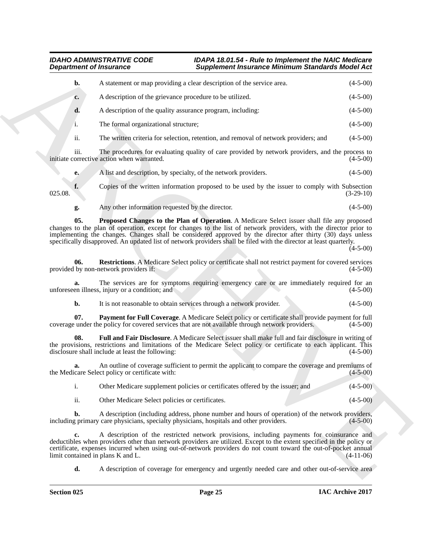|                | <b>Department of Insurance</b>                                  | <b>Supplement Insurance Minimum Standards Model Act</b>                                                                                                                                                                                                                                                                                                                                                                                                 |                                                                                                |
|----------------|-----------------------------------------------------------------|---------------------------------------------------------------------------------------------------------------------------------------------------------------------------------------------------------------------------------------------------------------------------------------------------------------------------------------------------------------------------------------------------------------------------------------------------------|------------------------------------------------------------------------------------------------|
| b.             |                                                                 | A statement or map providing a clear description of the service area.                                                                                                                                                                                                                                                                                                                                                                                   | $(4-5-00)$                                                                                     |
| c.             | A description of the grievance procedure to be utilized.        |                                                                                                                                                                                                                                                                                                                                                                                                                                                         | $(4-5-00)$                                                                                     |
| d.             | A description of the quality assurance program, including:      |                                                                                                                                                                                                                                                                                                                                                                                                                                                         | $(4-5-00)$                                                                                     |
| i.             | The formal organizational structure;                            |                                                                                                                                                                                                                                                                                                                                                                                                                                                         | $(4-5-00)$                                                                                     |
| ii.            |                                                                 | The written criteria for selection, retention, and removal of network providers; and                                                                                                                                                                                                                                                                                                                                                                    | $(4-5-00)$                                                                                     |
| iii.           | initiate corrective action when warranted.                      | The procedures for evaluating quality of care provided by network providers, and the process to                                                                                                                                                                                                                                                                                                                                                         | $(4-5-00)$                                                                                     |
| e.             | A list and description, by specialty, of the network providers. |                                                                                                                                                                                                                                                                                                                                                                                                                                                         | $(4-5-00)$                                                                                     |
| f.<br>025.08.  |                                                                 | Copies of the written information proposed to be used by the issuer to comply with Subsection                                                                                                                                                                                                                                                                                                                                                           | $(3-29-10)$                                                                                    |
| g.             | Any other information requested by the director.                |                                                                                                                                                                                                                                                                                                                                                                                                                                                         | $(4-5-00)$                                                                                     |
| 05.            |                                                                 | Proposed Changes to the Plan of Operation. A Medicare Select issuer shall file any proposed<br>changes to the plan of operation, except for changes to the list of network providers, with the director prior to<br>implementing the changes. Changes shall be considered approved by the director after thirty (30) days unless<br>specifically disapproved. An updated list of network providers shall be filed with the director at least quarterly. | $(4-5-00)$                                                                                     |
| 06.            | provided by non-network providers if:                           | Restrictions. A Medicare Select policy or certificate shall not restrict payment for covered services                                                                                                                                                                                                                                                                                                                                                   | $(4-5-00)$                                                                                     |
|                | unforeseen illness, injury or a condition; and                  | The services are for symptoms requiring emergency care or are immediately required for an                                                                                                                                                                                                                                                                                                                                                               | $(4-5-00)$                                                                                     |
| b.             |                                                                 | It is not reasonable to obtain services through a network provider.                                                                                                                                                                                                                                                                                                                                                                                     | $(4-5-00)$                                                                                     |
| 07.            |                                                                 | Payment for Full Coverage. A Medicare Select policy or certificate shall provide payment for full<br>coverage under the policy for covered services that are not available through network providers.                                                                                                                                                                                                                                                   | $(4-5-00)$                                                                                     |
| 08.            | disclosure shall include at least the following:                | Full and Fair Disclosure. A Medicare Select issuer shall make full and fair disclosure in writing of<br>the provisions, restrictions and limitations of the Medicare Select policy or certificate to each applicant. This                                                                                                                                                                                                                               | $(4-5-00)$                                                                                     |
| a.             | the Medicare Select policy or certificate with:                 | An outline of coverage sufficient to permit the applicant to compare the coverage and premiums of                                                                                                                                                                                                                                                                                                                                                       | $(4-5-00)$                                                                                     |
| $\mathbf{i}$ . |                                                                 | Other Medicare supplement policies or certificates offered by the issuer; and                                                                                                                                                                                                                                                                                                                                                                           | $(4-5-00)$                                                                                     |
| ii.            | Other Medicare Select policies or certificates.                 |                                                                                                                                                                                                                                                                                                                                                                                                                                                         | $(4-5-00)$                                                                                     |
| b.             |                                                                 | A description (including address, phone number and hours of operation) of the network providers,<br>including primary care physicians, specialty physicians, hospitals and other providers.                                                                                                                                                                                                                                                             | $(4-5-00)$                                                                                     |
| c.             | limit contained in plans K and L.                               | A description of the restricted network provisions, including payments for coinsurance and<br>deductibles when providers other than network providers are utilized. Except to the extent specified in the policy or<br>certificate, expenses incurred when using out-of-network providers do not count toward the out-of-pocket annual                                                                                                                  | $(4-11-06)$                                                                                    |
| d.             |                                                                 |                                                                                                                                                                                                                                                                                                                                                                                                                                                         | A description of coverage for emergency and urgently needed care and other out-of-service area |

<span id="page-24-3"></span><span id="page-24-2"></span><span id="page-24-1"></span><span id="page-24-0"></span>

|  | Other Medicare supplement policies or certificates offered by the issuer; and | $(4-5-00)$ |
|--|-------------------------------------------------------------------------------|------------|
|--|-------------------------------------------------------------------------------|------------|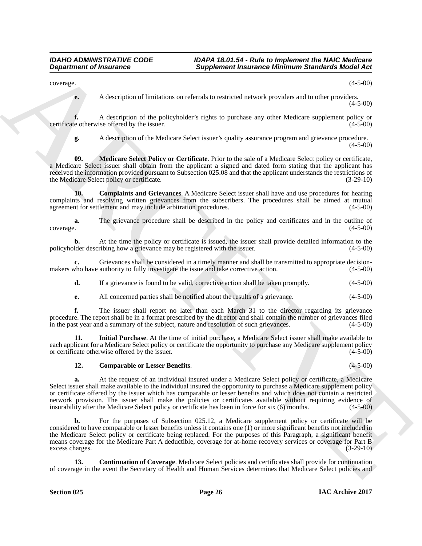$\alpha$  (4-5-00)  $(4-5-00)$ 

**e.** A description of limitations on referrals to restricted network providers and to other providers. (4-5-00)

**f.** A description of the policyholder's rights to purchase any other Medicare supplement policy or e otherwise offered by the issuer. (4-5-00) certificate otherwise offered by the issuer.

<span id="page-25-4"></span>

**g.** A description of the Medicare Select issuer's quality assurance program and grievance procedure.  $(4-5-00)$ 

**09. Medicare Select Policy or Certificate**. Prior to the sale of a Medicare Select policy or certificate, a Medicare Select issuer shall obtain from the applicant a signed and dated form stating that the applicant has received the information provided pursuant to Subsection 025.08 and that the applicant understands the restrictions of the Medicare Select policy or certificate. (3-29-10)

<span id="page-25-0"></span>**10. Complaints and Grievances**. A Medicare Select issuer shall have and use procedures for hearing complaints and resolving written grievances from the subscribers. The procedures shall be aimed at mutual agreement for settlement and may include arbitration procedures. (4-5-00)

**a.** The grievance procedure shall be described in the policy and certificates and in the outline of coverage.  $(4-5-00)$ coverage. (4-5-00)

**b.** At the time the policy or certificate is issued, the issuer shall provide detailed information to the policyholder describing how a grievance may be registered with the issuer. (4-5-00)

**c.** Grievances shall be considered in a timely manner and shall be transmitted to appropriate decision-<br>who have authority to fully investigate the issue and take corrective action. (4-5-00) makers who have authority to fully investigate the issue and take corrective action.

**d.** If a grievance is found to be valid, corrective action shall be taken promptly. (4-5-00)

**e.** All concerned parties shall be notified about the results of a grievance. (4-5-00)

**f.** The issuer shall report no later than each March 31 to the director regarding its grievance procedure. The report shall be in a format prescribed by the director and shall contain the number of grievances filed<br>in the past year and a summary of the subject, nature and resolution of such grievances. (4-5-00) in the past year and a summary of the subject, nature and resolution of such grievances.

**11. Initial Purchase**. At the time of initial purchase, a Medicare Select issuer shall make available to each applicant for a Medicare Select policy or certificate the opportunity to purchase any Medicare supplement policy or certificate otherwise offered by the issuer. (4-5-00) or certificate otherwise offered by the issuer.

## <span id="page-25-3"></span><span id="page-25-1"></span>**12. Comparable or Lesser Benefits**. (4-5-00)

**a.** At the request of an individual insured under a Medicare Select policy or certificate, a Medicare Select issuer shall make available to the individual insured the opportunity to purchase a Medicare supplement policy or certificate offered by the issuer which has comparable or lesser benefits and which does not contain a restricted network provision. The issuer shall make the policies or certificates available without requiring evidence of insurability after the Medicare Select policy or certificate has been in force for six (6) months. (4-5-00)

**Experiment of Insurance <sup>2</sup> Supplies of the same of Billiothera is a simulated Michael Action<br>
2. A check part of Billiothera and restrict a restrict a security position and in alter provider 2.50<br>
well and consider the b.** For the purposes of Subsection 025.12, a Medicare supplement policy or certificate will be considered to have comparable or lesser benefits unless it contains one (1) or more significant benefits not included in the Medicare Select policy or certificate being replaced. For the purposes of this Paragraph, a significant benefit means coverage for the Medicare Part A deductible, coverage for at-home recovery services or coverage for Part B excess charges. (3-29-10)

<span id="page-25-2"></span>**13. Continuation of Coverage**. Medicare Select policies and certificates shall provide for continuation of coverage in the event the Secretary of Health and Human Services determines that Medicare Select policies and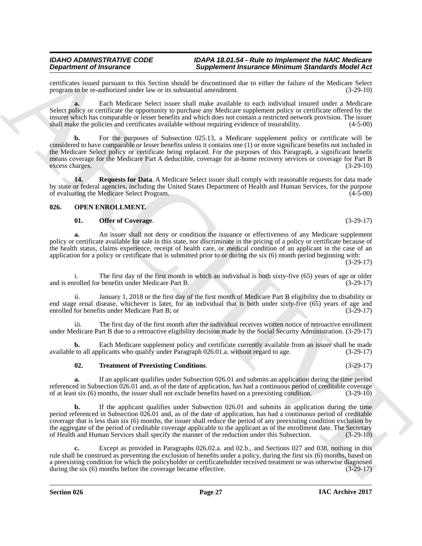# *IDAHO ADMINISTRATIVE CODE IDAPA 18.01.54 - Rule to Implement the NAIC Medicare*

certificates issued pursuant to this Section should be discontinued due to either the failure of the Medicare Select program to be re-authorized under law or its substantial amendment.

**Supplement Insurance Minimum Standards Model Act** 

**a.** Each Medicare Select issuer shall make available to each individual insured under a Medicare Select policy or certificate the opportunity to purchase any Medicare supplement policy or certificate offered by the insurer which has comparable or lesser benefits and which does not contain a restricted network provision. The issuer shall make the policies and certificates available without requiring evidence of insurability. (4-5-00) shall make the policies and certificates available without requiring evidence of insurability.

**Dependent of Francesco Constraint Scholars Complete Information Marchara Scholars Constraints (a) 25 US<br>
youtube and the state of the state of the state of the state of the state of the state of the state of the state of b.** For the purposes of Subsection 025.13, a Medicare supplement policy or certificate will be considered to have comparable or lesser benefits unless it contains one (1) or more significant benefits not included in the Medicare Select policy or certificate being replaced. For the purposes of this Paragraph, a significant benefit means coverage for the Medicare Part A deductible, coverage for at-home recovery services or coverage for Part B<br>(3-29-10) excess charges.

<span id="page-26-1"></span>**14. Requests for Data**. A Medicare Select issuer shall comply with reasonable requests for data made by state or federal agencies, including the United States Department of Health and Human Services, for the purpose of evaluating the Medicare Select Program. of evaluating the Medicare Select Program.

## <span id="page-26-0"></span>**026. OPEN ENROLLMENT.**

## <span id="page-26-3"></span><span id="page-26-2"></span>**01. Offer of Coverage.** (3-29-17)

**a.** An issuer shall not deny or condition the issuance or effectiveness of any Medicare supplement policy or certificate available for sale in this state, nor discriminate in the pricing of a policy or certificate because of the health status, claims experience, receipt of health care, or medical condition of an applicant in the case of an application for a policy or certificate that is submitted prior to or during the six (6) month period beginning with:

(3-29-17)

i. The first day of the first month in which an individual is both sixty-five (65) years of age or older and is enrolled for benefits under Medicare Part B. (3-29-17)

ii. January 1, 2018 or the first day of the first month of Medicare Part B eligibility due to disability or end stage renal disease, whichever is later, for an individual that is both under sixty-five (65) years of age and enrolled for benefits under Medicare Part B; or (3-29-17) enrolled for benefits under Medicare Part B; or

iii. The first day of the first month after the individual receives written notice of retroactive enrollment under Medicare Part B due to a retroactive eligibility decision made by the Social Security Administration. (3-29-17)

**b.** Each Medicare supplement policy and certificate currently available from an issuer shall be made to all applicants who qualify under Paragraph 026.01.a. without regard to age. (3-29-17) available to all applicants who qualify under Paragraph 026.01.a. without regard to age.

## <span id="page-26-4"></span>**02. Treatment of Preexisting Conditions**. (3-29-17)

**a.** If an applicant qualifies under Subsection 026.01 and submits an application during the time period referenced in Subsection  $\hat{0}26.01$  and, as of the date of application, has had a continuous period of creditable coverage of at least six (6) months, the issuer shall not exclude benefits based on a preexisting conditi of at least six (6) months, the issuer shall not exclude benefits based on a preexisting condition.

**b.** If the applicant qualifies under Subsection 026.01 and submits an application during the time period referenced in Subsection 026.01 and, as of the date of application, has had a continuous period of creditable coverage that is less than six (6) months, the issuer shall reduce the period of any preexisting condition exclusion by the aggregate of the period of creditable coverage applicable to the applicant as of the enrollment date. The Secretary of Health and Human Services shall specify the manner of the reduction under this Subsection. (3-29-10)

Except as provided in Paragraphs 026.02.a. and 02.b., and Sections 027 and 038, nothing in this rule shall be construed as preventing the exclusion of benefits under a policy, during the first six (6) months, based on a preexisting condition for which the policyholder or certificateholder received treatment or was otherwise diagnosed during the six (6) months before the coverage became effective. (3-29-17) during the six  $(6)$  months before the coverage became effective.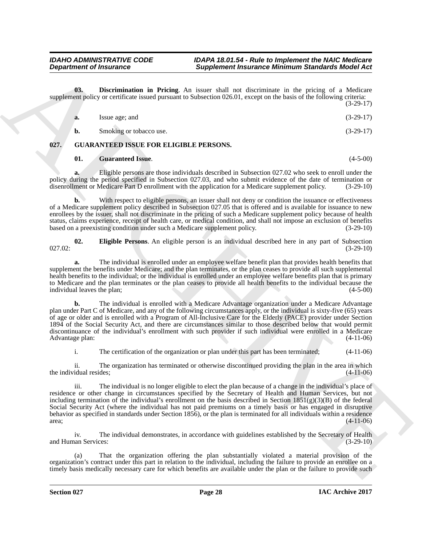**03. Discrimination in Pricing**. An issuer shall not discriminate in the pricing of a Medicare supplement policy or certificate issued pursuant to Subsection 026.01, except on the basis of the following criteria: (3-29-17)

<span id="page-27-4"></span>

| a. | Issue age; and          | $(3-29-17)$ |
|----|-------------------------|-------------|
| b. | Smoking or tobacco use. | $(3-29-17)$ |

## <span id="page-27-0"></span>**027. GUARANTEED ISSUE FOR ELIGIBLE PERSONS.**

## <span id="page-27-3"></span><span id="page-27-1"></span>**01. Guaranteed Issue**. (4-5-00)

**a.** Eligible persons are those individuals described in Subsection 027.02 who seek to enroll under the policy during the period specified in Subsection 027.03, and who submit evidence of the date of termination or disenrollment or Medicare Part D enrollment with the application for a Medicare supplement policy. (3-29-10) disenrollment or Medicare Part D enrollment with the application for a Medicare supplement policy.

**b.** With respect to eligible persons, an issuer shall not deny or condition the issuance or effectiveness of a Medicare supplement policy described in Subsection 027.05 that is offered and is available for issuance to new enrollees by the issuer, shall not discriminate in the pricing of such a Medicare supplement policy because of health status, claims experience, receipt of health care, or medical condition, and shall not impose an exclusion of benefits<br>based on a preexisting condition under such a Medicare supplement policy. (3-29-10) based on a preexisting condition under such a Medicare supplement policy.

<span id="page-27-2"></span>**02. Eligible Persons**. An eligible person is an individual described here in any part of Subsection  $027.02:$  (3-29-10)

**a.** The individual is enrolled under an employee welfare benefit plan that provides health benefits that supplement the benefits under Medicare; and the plan terminates, or the plan ceases to provide all such supplemental health benefits to the individual; or the individual is enrolled under an employee welfare benefits plan that is primary to Medicare and the plan terminates or the plan ceases to provide all health benefits to the individual because the individual leaves the plan;

**b.** The individual is enrolled with a Medicare Advantage organization under a Medicare Advantage plan under Part C of Medicare, and any of the following circumstances apply, or the individual is sixty-five (65) years of age or older and is enrolled with a Program of All-Inclusive Care for the Elderly (PACE) provider under Section 1894 of the Social Security Act, and there are circumstances similar to those described below that would permit discontinuance of the individual's enrollment with such provider if such individual were enrolled in a Medicare Advantage plan: (4-11-06)

i. The certification of the organization or plan under this part has been terminated; (4-11-06)

ii. The organization has terminated or otherwise discontinued providing the plan in the area in which the individual resides;  $(4-11-06)$ 

**Department of freezome control in the line of the same of the same of the same of the same of the same of the same of the same of the same of the same of the same of the same of the same of the same of the same of the sa** iii. The individual is no longer eligible to elect the plan because of a change in the individual's place of residence or other change in circumstances specified by the Secretary of Health and Human Services, but not including termination of the individual's enrollment on the basis described in Section  $1851(g)(3)(B)$  of the federal Social Security Act (where the individual has not paid premiums on a timely basis or has engaged in disruptive behavior as specified in standards under Section 1856), or the plan is terminated for all individuals within a residence area;<br>(4-11-06)  $(4-11-06)$ 

iv. The individual demonstrates, in accordance with guidelines established by the Secretary of Health and Human Services: (3-29-10)

(a) That the organization offering the plan substantially violated a material provision of the organization's contract under this part in relation to the individual, including the failure to provide an enrollee on a timely basis medically necessary care for which benefits are available under the plan or the failure to provide such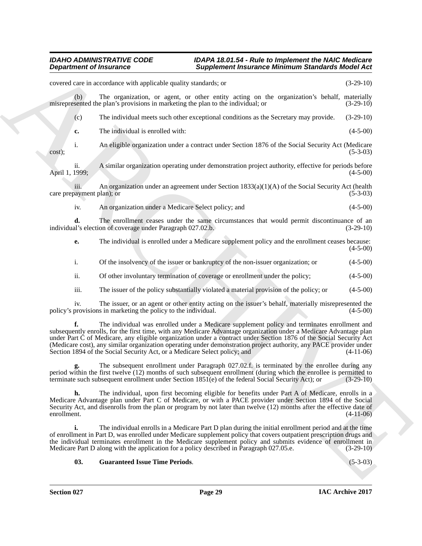|                                   | <b>Department of Insurance</b>                                            | Supplement Insurance Minimum Standards Model Act                                                                                                                                                                                                                                                                                                                                                                                                               |             |
|-----------------------------------|---------------------------------------------------------------------------|----------------------------------------------------------------------------------------------------------------------------------------------------------------------------------------------------------------------------------------------------------------------------------------------------------------------------------------------------------------------------------------------------------------------------------------------------------------|-------------|
|                                   | covered care in accordance with applicable quality standards; or          |                                                                                                                                                                                                                                                                                                                                                                                                                                                                | $(3-29-10)$ |
| (b)                               |                                                                           | The organization, or agent, or other entity acting on the organization's behalf, materially<br>misrepresented the plan's provisions in marketing the plan to the individual; or                                                                                                                                                                                                                                                                                | $(3-29-10)$ |
| (c)                               |                                                                           | The individual meets such other exceptional conditions as the Secretary may provide.                                                                                                                                                                                                                                                                                                                                                                           | $(3-29-10)$ |
| c.                                | The individual is enrolled with:                                          |                                                                                                                                                                                                                                                                                                                                                                                                                                                                | $(4-5-00)$  |
| i.<br>cost);                      |                                                                           | An eligible organization under a contract under Section 1876 of the Social Security Act (Medicare                                                                                                                                                                                                                                                                                                                                                              | $(5-3-03)$  |
| ii.<br>April 1, 1999;             |                                                                           | A similar organization operating under demonstration project authority, effective for periods before                                                                                                                                                                                                                                                                                                                                                           | $(4-5-00)$  |
| iii.<br>care prepayment plan); or |                                                                           | An organization under an agreement under Section $1833(a)(1)(A)$ of the Social Security Act (health                                                                                                                                                                                                                                                                                                                                                            | $(5-3-03)$  |
| iv.                               | An organization under a Medicare Select policy; and                       |                                                                                                                                                                                                                                                                                                                                                                                                                                                                | $(4-5-00)$  |
| d.                                | individual's election of coverage under Paragraph 027.02.b.               | The enrollment ceases under the same circumstances that would permit discontinuance of an                                                                                                                                                                                                                                                                                                                                                                      | $(3-29-10)$ |
| e.                                |                                                                           | The individual is enrolled under a Medicare supplement policy and the enrollment ceases because:                                                                                                                                                                                                                                                                                                                                                               | $(4-5-00)$  |
| i.                                |                                                                           | Of the insolvency of the issuer or bankruptcy of the non-issuer organization; or                                                                                                                                                                                                                                                                                                                                                                               | $(4-5-00)$  |
| ii.                               |                                                                           | Of other involuntary termination of coverage or enrollment under the policy;                                                                                                                                                                                                                                                                                                                                                                                   | $(4-5-00)$  |
| iii.                              |                                                                           | The issuer of the policy substantially violated a material provision of the policy; or                                                                                                                                                                                                                                                                                                                                                                         | $(4-5-00)$  |
| 1V.                               | policy's provisions in marketing the policy to the individual.            | The issuer, or an agent or other entity acting on the issuer's behalf, materially misrepresented the                                                                                                                                                                                                                                                                                                                                                           | $(4-5-00)$  |
|                                   | Section 1894 of the Social Security Act, or a Medicare Select policy; and | The individual was enrolled under a Medicare supplement policy and terminates enrollment and<br>subsequently enrolls, for the first time, with any Medicare Advantage organization under a Medicare Advantage plan<br>under Part C of Medicare, any eligible organization under a contract under Section 1876 of the Social Security Act<br>(Medicare cost), any similar organization operating under demonstration project authority, any PACE provider under | $(4-11-06)$ |
|                                   |                                                                           | The subsequent enrollment under Paragraph 027.02.f. is terminated by the enrollee during any<br><b>g.</b> The subsequent enrollment under Faragraph $UZ/1.0Z$ . is terminated by the enroller sample any<br>period within the first twelve (12) months of such subsequent enrollment (during which the enrollee is permitted to<br>terminate such subsequent enrollment under Section $1851(e)$ of the federal Social Security Act); or                        | $(3-29-10)$ |
| h.<br>enrollment.                 |                                                                           | The individual, upon first becoming eligible for benefits under Part A of Medicare, enrolls in a<br>Medicare Advantage plan under Part C of Medicare, or with a PACE provider under Section 1894 of the Social<br>Security Act, and disenrolls from the plan or program by not later than twelve (12) months after the effective date of                                                                                                                       | $(4-11-06)$ |
| i.                                |                                                                           | The individual enrolls in a Medicare Part D plan during the initial enrollment period and at the time<br>of enrollment in Part D, was enrolled under Medicare supplement policy that covers outpatient prescription drugs and<br>the individual terminates enrollment in the Medicare supplement policy and submits evidence of enrollment in<br>Medicare Part D along with the application for a policy described in Paragraph 027.05.e.                      | $(3-29-10)$ |
|                                   |                                                                           |                                                                                                                                                                                                                                                                                                                                                                                                                                                                |             |

## <span id="page-28-0"></span>**03. Guaranteed Issue Time Periods**. (5-3-03)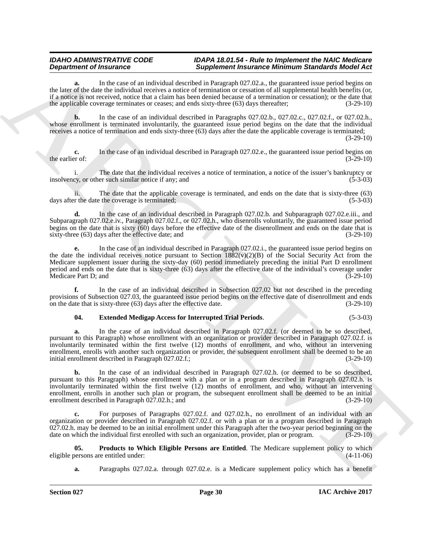**a.** In the case of an individual described in Paragraph 027.02.a., the guaranteed issue period begins on the later of the date the individual receives a notice of termination or cessation of all supplemental health benefits (or, if a notice is not received, notice that a claim has been denied because of a termination or cessation); or the date that the applicable coverage terminates or ceases; and ends sixty-three (63) days thereafter; (3-29-10)

**b.** In the case of an individual described in Paragraphs 027.02.b., 027.02.c., 027.02.f., or 027.02.h., whose enrollment is terminated involuntarily, the guaranteed issue period begins on the date that the individual receives a notice of termination and ends sixty-three (63) days after the date the applicable coverage is terminated;

(3-29-10)

**c.** In the case of an individual described in Paragraph 027.02.e., the guaranteed issue period begins on er of: (3-29-10) the earlier of:

The date that the individual receives a notice of termination, a notice of the issuer's bankruptcy or insolvency, or other such similar notice if any; and (5-3-03)

ii. The date that the applicable coverage is terminated, and ends on the date that is sixty-three (63) days after the date the coverage is terminated;

**d.** In the case of an individual described in Paragraph 027.02.b. and Subparagraph 027.02.e.iii., and Subparagraph 027.02.e.iv., Paragraph 027.02.f., or 027.02.h., who disenrolls voluntarily, the guaranteed issue period begins on the date that is sixty  $(60)$  days before the effective date of the disenrollment and ends on the date that is sixty-three  $(63)$  days after the effective date; and  $(3-29-10)$ sixty-three  $(63)$  days after the effective date; and

**e.** In the case of an individual described in Paragraph 027.02.i., the guaranteed issue period begins on the date the individual receives notice pursuant to Section  $1882(v)(2)(B)$  of the Social Security Act from the Medicare supplement issuer during the sixty-day (60) period immediately preceding the initial Part D enrollment period and ends on the date that is sixty-three (63) days after the effective date of the individual's coverage under Medicare Part D; and

**f.** In the case of an individual described in Subsection 027.02 but not described in the preceding provisions of Subsection 027.03, the guaranteed issue period begins on the effective date of disenrollment and ends<br>on the date that is sixty-three (63) days after the effective date. (3-29-10) on the date that is sixty-three  $(63)$  days after the effective date.

## <span id="page-29-0"></span>**04. Extended Medigap Access for Interrupted Trial Periods**. (5-3-03)

**a.** In the case of an individual described in Paragraph 027.02.f. (or deemed to be so described, pursuant to this Paragraph) whose enrollment with an organization or provider described in Paragraph 027.02.f. is involuntarily terminated within the first twelve (12) months of enrollment, and who, without an intervening enrollment, enrolls with another such organization or provider, the subsequent enrollment shall be deemed to be an initial enrollment described in Paragraph 027.02.f.; (3-29-10)

**Department of Franchise Complete Complete Complete Complete Complete Complete Complete Complete Complete Complete Complete Complete Complete Complete Complete Complete Complete Complete Complete Complete Complete Complet b.** In the case of an individual described in Paragraph 027.02.h. (or deemed to be so described, pursuant to this Paragraph) whose enrollment with a plan or in a program described in Paragraph 027.02.h. is involuntarily terminated within the first twelve (12) months of enrollment, and who, without an intervening enrollment, enrolls in another such plan or program, the subsequent enrollment shall be deemed to be an initial enrollment described in Paragraph 027.02.h.; and (3-29-10)

**c.** For purposes of Paragraphs 027.02.f. and 027.02.h., no enrollment of an individual with an organization or provider described in Paragraph 027.02.f. or with a plan or in a program described in Paragraph 027.02.h. may be deemed to be an initial enrollment under this Paragraph after the two-year period beginning on the date on which the individual first enrolled with such an organization, provider, plan or program. (3-29-10)

**05. Products to Which Eligible Persons are Entitled**. The Medicare supplement policy to which persons are entitled under: (4-11-06) eligible persons are entitled under:

<span id="page-29-1"></span>**a.** Paragraphs 027.02.a. through 027.02.e. is a Medicare supplement policy which has a benefit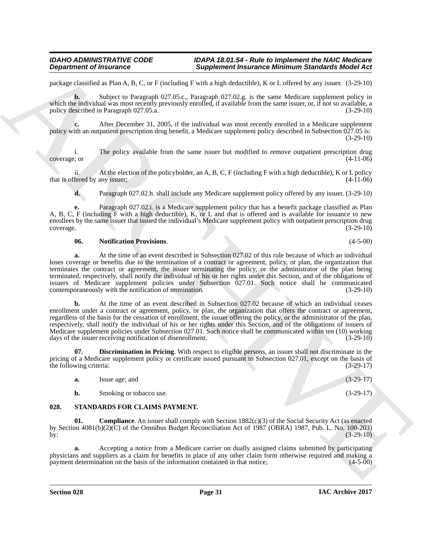package classified as Plan A, B, C, or F (including F with a high deductible), K or L offered by any issuer. (3-29-10)

**b.** Subject to Paragraph 027.05.c., Paragraph 027.02.g. is the same Medicare supplement policy in which the individual was most recently previously enrolled, if available from the same issuer, or, if not so available, a policy described in Paragraph 027.05.a. (3-29-10)

**c.** After December 31, 2005, if the individual was most recently enrolled in a Medicare supplement policy with an outpatient prescription drug benefit, a Medicare supplement policy described in Subsection 027.05 is: (3-29-10)

i. The policy available from the same issuer but modified to remove outpatient prescription drug e; or  $(4-11-06)$ coverage; or (4-11-06)

ii. At the election of the policyholder, an A, B, C, F (including F with a high deductible), K or L policy that is offered by any issuer; (4-11-06)

**d.** Paragraph 027.02.h. shall include any Medicare supplement policy offered by any issuer. (3-29-10)

**e.** Paragraph 027.02.i. is a Medicare supplement policy that has a benefit package classified as Plan A, B, C, F (including F with a high deductible), K, or L and that is offered and is available for issuance to new enrollees by the same issuer that issued the individual's Medicare supplement policy with outpatient prescription drug coverage. (3-29-10) coverage. (3-29-10)

### <span id="page-30-2"></span>**06. Notification Provisions**. (4-5-00)

**a.** At the time of an event described in Subsection 027.02 of this rule because of which an individual loses coverage or benefits due to the termination of a contract or agreement, policy, or plan, the organization that terminates the contract or agreement, the issuer terminating the policy, or the administrator of the plan being terminated, respectively, shall notify the individual of his or her rights under this Section, and of the obligations of issuers of Medicare supplement policies under Subsection 027.01. Such notice shall be communicated contemporaneously with the notification of termination. (3-29-10) contemporaneously with the notification of termination.

**Experiment of Instance C**<br>
Supplement Reasonne C and the state of the state of the high detection (CTA) and the state of the state of the state of the state of the state of the state of the state of the state of the stat **b.** At the time of an event described in Subsection 027.02 because of which an individual ceases enrollment under a contract or agreement, policy, or plan, the organization that offers the contract or agreement, regardless of the basis for the cessation of enrollment, the issuer offering the policy, or the administrator of the plan, respectively, shall notify the individual of his or her rights under this Section, and of the obligations of issuers of Medicare supplement policies under Subsection 027.01. Such notice shall be communicated within ten (10) working days of the issuer receiving notification of disenrollment. (3-29-10)

**07. Discrimination in Pricing**. With respect to eligible persons, an issuer shall not discriminate in the pricing of a Medicare supplement policy or certificate issued pursuant to Subsection 027.01, except on the basis of the following criteria: (3-29-17) the following criteria:

<span id="page-30-4"></span><span id="page-30-3"></span><span id="page-30-1"></span>

| a. | Issue age; and          | $(3-29-17)$ |
|----|-------------------------|-------------|
| D. | Smoking or tobacco use. | $(3-29-17)$ |

## <span id="page-30-0"></span>**028. STANDARDS FOR CLAIMS PAYMENT.**

**Compliance**. An issuer shall comply with Section 1882(c)(3) of the Social Security Act (as enacted by Section 4081(b)(2)(C) of the Omnibus Budget Reconciliation Act of 1987 (OBRA) 1987, Pub. L. No. 100-203) by:  $(3-29-10)$ 

**a.** Accepting a notice from a Medicare carrier on dually assigned claims submitted by participating physicians and suppliers as a claim for benefits in place of any other claim form otherwise required and making a payment determination on the basis of the information contained in that notice; (4-5-00)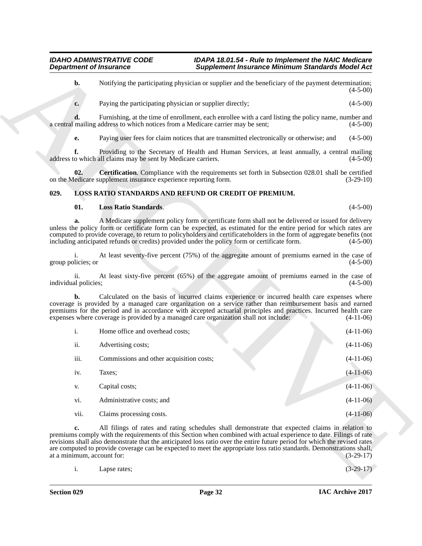## <span id="page-31-0"></span>**029. LOSS RATIO STANDARDS AND REFUND OR CREDIT OF PREMIUM.**

## <span id="page-31-3"></span><span id="page-31-2"></span><span id="page-31-1"></span>**01. Loss Ratio Standards**. (4-5-00)

|                             | <b>Department of Insurance</b>                                                        | <b>Supplement Insurance Minimum Standards Model Act</b>                                                                                                                                                                                                                                                                                                                                                                                                                      |             |
|-----------------------------|---------------------------------------------------------------------------------------|------------------------------------------------------------------------------------------------------------------------------------------------------------------------------------------------------------------------------------------------------------------------------------------------------------------------------------------------------------------------------------------------------------------------------------------------------------------------------|-------------|
| b.                          |                                                                                       | Notifying the participating physician or supplier and the beneficiary of the payment determination;                                                                                                                                                                                                                                                                                                                                                                          | $(4-5-00)$  |
| c.                          | Paying the participating physician or supplier directly;                              |                                                                                                                                                                                                                                                                                                                                                                                                                                                                              | $(4-5-00)$  |
| d.                          | a central mailing address to which notices from a Medicare carrier may be sent;       | Furnishing, at the time of enrollment, each enrollee with a card listing the policy name, number and                                                                                                                                                                                                                                                                                                                                                                         | $(4-5-00)$  |
| e.                          |                                                                                       | Paying user fees for claim notices that are transmitted electronically or otherwise; and                                                                                                                                                                                                                                                                                                                                                                                     | $(4-5-00)$  |
| f.                          | address to which all claims may be sent by Medicare carriers.                         | Providing to the Secretary of Health and Human Services, at least annually, a central mailing                                                                                                                                                                                                                                                                                                                                                                                | $(4-5-00)$  |
| 02.                         | on the Medicare supplement insurance experience reporting form.                       | Certification. Compliance with the requirements set forth in Subsection 028.01 shall be certified                                                                                                                                                                                                                                                                                                                                                                            | $(3-29-10)$ |
| 029.                        | LOSS RATIO STANDARDS AND REFUND OR CREDIT OF PREMIUM.                                 |                                                                                                                                                                                                                                                                                                                                                                                                                                                                              |             |
| 01.                         | <b>Loss Ratio Standards.</b>                                                          |                                                                                                                                                                                                                                                                                                                                                                                                                                                                              | $(4-5-00)$  |
| a.                          |                                                                                       | A Medicare supplement policy form or certificate form shall not be delivered or issued for delivery<br>unless the policy form or certificate form can be expected, as estimated for the entire period for which rates are<br>computed to provide coverage, to return to policyholders and certificateholders in the form of aggregate benefits (not<br>including anticipated refunds or credits) provided under the policy form or certificate form.                         | $(4-5-00)$  |
| 1.<br>group policies; or    |                                                                                       | At least seventy-five percent (75%) of the aggregate amount of premiums earned in the case of                                                                                                                                                                                                                                                                                                                                                                                | $(4-5-00)$  |
| ii.<br>individual policies; |                                                                                       | At least sixty-five percent (65%) of the aggregate amount of premiums earned in the case of                                                                                                                                                                                                                                                                                                                                                                                  | $(4-5-00)$  |
| b.                          | expenses where coverage is provided by a managed care organization shall not include: | Calculated on the basis of incurred claims experience or incurred health care expenses where<br>coverage is provided by a managed care organization on a service rather than reimbursement basis and earned<br>premiums for the period and in accordance with accepted actuarial principles and practices. Incurred health care                                                                                                                                              | $(4-11-06)$ |
| $\mathbf{i}$ .              | Home office and overhead costs;                                                       |                                                                                                                                                                                                                                                                                                                                                                                                                                                                              | $(4-11-06)$ |
| ii.                         | Advertising costs;                                                                    |                                                                                                                                                                                                                                                                                                                                                                                                                                                                              | $(4-11-06)$ |
| iii.                        | Commissions and other acquisition costs;                                              |                                                                                                                                                                                                                                                                                                                                                                                                                                                                              | $(4-11-06)$ |
| iv.                         | Taxes;                                                                                |                                                                                                                                                                                                                                                                                                                                                                                                                                                                              | $(4-11-06)$ |
| V.                          | Capital costs;                                                                        |                                                                                                                                                                                                                                                                                                                                                                                                                                                                              | $(4-11-06)$ |
| vi.                         | Administrative costs; and                                                             |                                                                                                                                                                                                                                                                                                                                                                                                                                                                              | $(4-11-06)$ |
| vii.                        | Claims processing costs.                                                              |                                                                                                                                                                                                                                                                                                                                                                                                                                                                              | $(4-11-06)$ |
| c.                          |                                                                                       | All filings of rates and rating schedules shall demonstrate that expected claims in relation to<br>premiums comply with the requirements of this Section when combined with actual experience to date. Filings of rate<br>revisions shall also demonstrate that the anticipated loss ratio over the entire future period for which the revised rates<br>are computed to provide coverage can be expected to meet the appropriate loss ratio standards. Demonstrations shall, |             |
| at a minimum, account for:  |                                                                                       |                                                                                                                                                                                                                                                                                                                                                                                                                                                                              | $(3-29-17)$ |

| Lapse rates; | $(3-29-17)$ |
|--------------|-------------|
|              |             |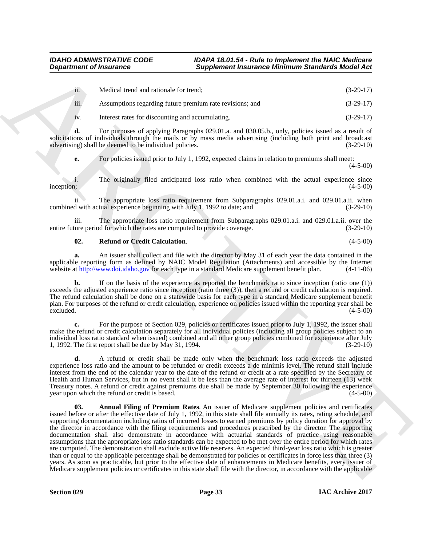| $\cdots$<br>ii. – | Medical trend and rationale for trend; |  | $(3-29-17)$ |
|-------------------|----------------------------------------|--|-------------|
|                   |                                        |  |             |

iii. Assumptions regarding future premium rate revisions; and (3-29-17)

iv. Interest rates for discounting and accumulating. (3-29-17)

**d.** For purposes of applying Paragraphs 029.01.a. and 030.05.b., only, policies issued as a result of solicitations of individuals through the mails or by mass media advertising (including both print and broadcast advertising) shall be deemed to be individual policies. (3-29-10)

**e.** For policies issued prior to July 1, 1992, expected claims in relation to premiums shall meet:

(4-5-00)

i. The originally filed anticipated loss ratio when combined with the actual experience since inception; (4-5-00) inception; (4-5-00)

ii. The appropriate loss ratio requirement from Subparagraphs 029.01.a.i. and 029.01.a.ii. when combined with actual experience beginning with July 1, 1992 to date; and (3-29-10)

iii. The appropriate loss ratio requirement from Subparagraphs 029.01.a.i. and 029.01.a.ii. over the ture period for which the rates are computed to provide coverage. (3-29-10) entire future period for which the rates are computed to provide coverage.

## <span id="page-32-1"></span>**02. Refund or Credit Calculation**. (4-5-00)

**a.** An issuer shall collect and file with the director by May 31 of each year the data contained in the applicable reporting form as defined by NAIC Model Regulation (Attachments) and accessible by the Internet website at http://www.doi.idaho.gov for each type in a standard Medicare supplement benefit plan. (4-11-06)

**b.** If on the basis of the experience as reported the benchmark ratio since inception (ratio one (1)) exceeds the adjusted experience ratio since inception (ratio three (3)), then a refund or credit calculation is required. The refund calculation shall be done on a statewide basis for each type in a standard Medicare supplement benefit plan. For purposes of the refund or credit calculation, experience on policies issued within the reporting year shall be  $\alpha$  excluded.  $(4-5-00)$ 

**c.** For the purpose of Section 029, policies or certificates issued prior to July 1, 1992, the issuer shall make the refund or credit calculation separately for all individual policies (including all group policies subject to an individual loss ratio standard when issued) combined and all other group policies combined for experience after July 1, 1992. The first report shall be due by May 31, 1994. (3-29-10)

<span id="page-32-0"></span>**d.** A refund or credit shall be made only when the benchmark loss ratio exceeds the adjusted experience loss ratio and the amount to be refunded or credit exceeds a de minimis level. The refund shall include interest from the end of the calendar year to the date of the refund or credit at a rate specified by the Secretary of Health and Human Services, but in no event shall it be less than the average rate of interest for thirteen (13) week Treasury notes. A refund or credit against premiums due shall be made by September 30 following the experience vear upon which the refund or credit is based. year upon which the refund or credit is based.

**Department of Insurance**  $\overline{B}$  **and Landscale the control of the same of the same of the same of the same of the same of the same of the same of the same of the same of the same of the same of the same of the same of th 03. Annual Filing of Premium Rates**. An issuer of Medicare supplement policies and certificates issued before or after the effective date of July 1, 1992, in this state shall file annually its rates, rating schedule, and supporting documentation including ratios of incurred losses to earned premiums by policy duration for approval by the director in accordance with the filing requirements and procedures prescribed by the director. The supporting documentation shall also demonstrate in accordance with actuarial standards of practice using reasonable assumptions that the appropriate loss ratio standards can be expected to be met over the entire period for which rates are computed. The demonstration shall exclude active life reserves. An expected third-year loss ratio which is greater than or equal to the applicable percentage shall be demonstrated for policies or certificates in force less than three (3) years. As soon as practicable, but prior to the effective date of enhancements in Medicare benefits, every issuer of Medicare supplement policies or certificates in this state shall file with the director, in accordance with the applicable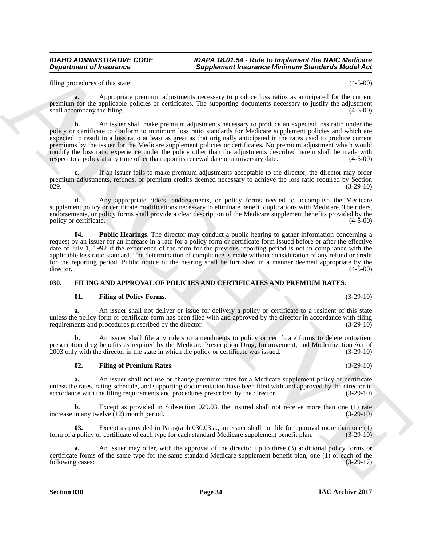filing procedures of this state: (4-5-00)

**a.** Appropriate premium adjustments necessary to produce loss ratios as anticipated for the current premium for the applicable policies or certificates. The supporting documents necessary to justify the adjustment shall accompany the filing. (4-5-00)

**Department of Francoise.**<br>
Higherines the same of the same of the same of the same of the same of the same of the same of the same of the same of the same of the same of the same of the same of the same of the same of th **b.** An issuer shall make premium adjustments necessary to produce an expected loss ratio under the policy or certificate to conform to minimum loss ratio standards for Medicare supplement policies and which are expected to result in a loss ratio at least as great as that originally anticipated in the rates used to produce current premiums by the issuer for the Medicare supplement policies or certificates. No premium adjustment which would modify the loss ratio experience under the policy other than the adjustments described herein shall be made with respect to a policy at any time other than upon its renewal date or anniversary date. (4-5-00) respect to a policy at any time other than upon its renewal date or anniversary date.

**c.** If an issuer fails to make premium adjustments acceptable to the director, the director may order premium adjustments, refunds, or premium credits deemed necessary to achieve the loss ratio required by Section (3-29-10)  $029.$  (3-29-10)

**d.** Any appropriate riders, endorsements, or policy forms needed to accomplish the Medicare supplement policy or certificate modifications necessary to eliminate benefit duplications with Medicare. The riders, endorsements, or policy forms shall provide a clear description of the Medicare supplement benefits provided by the policy or certificate.

<span id="page-33-4"></span>**04. Public Hearings**. The director may conduct a public hearing to gather information concerning a request by an issuer for an increase in a rate for a policy form or certificate form issued before or after the effective date of July 1, 1992 if the experience of the form for the previous reporting period is not in compliance with the applicable loss ratio standard. The determination of compliance is made without consideration of any refund or credit for the reporting period. Public notice of the hearing shall be furnished in a manner deemed appropriate by the director. (4-5-00) director. (4-5-00)

## <span id="page-33-0"></span>**030. FILING AND APPROVAL OF POLICIES AND CERTIFICATES AND PREMIUM RATES.**

## <span id="page-33-2"></span><span id="page-33-1"></span>**01. Filing of Policy Forms**. (3-29-10)

**a.** An issuer shall not deliver or issue for delivery a policy or certificate to a resident of this state unless the policy form or certificate form has been filed with and approved by the director in accordance with filing requirements and procedures prescribed by the director. (3-29-10) requirements and procedures prescribed by the director.

**b.** An issuer shall file any riders or amendments to policy or certificate forms to delete outpatient prescription drug benefits as required by the Medicare Prescription Drug, Improvement, and Modernization Act of 2003 only with the director in the state in which the policy or certificate was issued. (3-29-10)

## <span id="page-33-3"></span>**02. Filing of Premium Rates**. (3-29-10)

**a.** An issuer shall not use or change premium rates for a Medicare supplement policy or certificate unless the rates, rating schedule, and supporting documentation have been filed with and approved by the director in accordance with the filing requirements and procedures prescribed by the director.  $(3-29-10)$ accordance with the filing requirements and procedures prescribed by the director.

Except as provided in Subsection 029.03, the insured shall not receive more than one (1) rate relive (12) month period. (3-29-10) increase in any twelve  $(12)$  month period.

**03.** Except as provided in Paragraph 030.03.a., an issuer shall not file for approval more than one (1) form of a policy or certificate of each type for each standard Medicare supplement benefit plan. (3-29-10)

**a.** An issuer may offer, with the approval of the director, up to three (3) additional policy forms or certificate forms of the same type for the same standard Medicare supplement benefit plan, one (1) or each of the following cases:  $(3-29-17)$ following cases: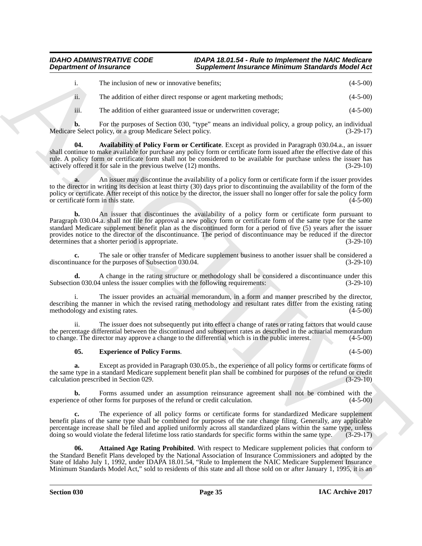|                 | The inclusion of new or innovative benefits;     | $(4-5-00)$       |
|-----------------|--------------------------------------------------|------------------|
| $\cdot$ $\cdot$ | $\sim$ 1.12.2 $\sim$ $\sim$ $\sim$ $\sim$ $\sim$ | $(1 - \alpha)^2$ |

ii. The addition of either direct response or agent marketing methods; (4-5-00)

<span id="page-34-1"></span>iii. The addition of either guaranteed issue or underwritten coverage; (4-5-00)

**b.** For the purposes of Section 030, "type" means an individual policy, a group policy, an individual e Select policy, or a group Medicare Select policy. Medicare Select policy, or a group Medicare Select policy.

**04. Availability of Policy Form or Certificate**. Except as provided in Paragraph 030.04.a., an issuer shall continue to make available for purchase any policy form or certificate form issued after the effective date of this rule. A policy form or certificate form shall not be considered to be available for purchase unless the issuer has actively offered it for sale in the previous twelve (12) months. (3-29-10) actively offered it for sale in the previous twelve  $(12)$  months.

**a.** An issuer may discontinue the availability of a policy form or certificate form if the issuer provides to the director in writing its decision at least thirty (30) days prior to discontinuing the availability of the form of the policy or certificate. After receipt of this notice by the director, the issuer shall no longer offer for sale the policy form<br>or certificate form in this state. or certificate form in this state.

**Experiment of Instantine Completene Research is a consistent procedure of the control of the state of the state of the state of the state of the state of the state of the state of the state of the state of the state of t b.** An issuer that discontinues the availability of a policy form or certificate form pursuant to Paragraph 030.04.a. shall not file for approval a new policy form or certificate form of the same type for the same standard Medicare supplement benefit plan as the discontinued form for a period of five (5) years after the issuer provides notice to the director of the discontinuance. The period of discontinuance may be reduced if the director determines that a shorter period is appropriate. (3-29-10) determines that a shorter period is appropriate.

**c.** The sale or other transfer of Medicare supplement business to another issuer shall be considered a nuance for the purposes of Subsection 030.04. (3-29-10) discontinuance for the purposes of Subsection 030.04.

**d.** A change in the rating structure or methodology shall be considered a discontinuance under this on 030.04 unless the issuer complies with the following requirements: (3-29-10) Subsection 030.04 unless the issuer complies with the following requirements:

i. The issuer provides an actuarial memorandum, in a form and manner prescribed by the director, describing the manner in which the revised rating methodology and resultant rates differ from the existing rating methodology and existing rates. (4-5-00)

ii. The issuer does not subsequently put into effect a change of rates or rating factors that would cause the percentage differential between the discontinued and subsequent rates as described in the actuarial memorandum to change. The director may approve a change to the differential which is in the public interest. (4-5-00)

## <span id="page-34-2"></span>**05. Experience of Policy Forms**. (4-5-00)

**a.** Except as provided in Paragraph 030.05.b., the experience of all policy forms or certificate forms of the same type in a standard Medicare supplement benefit plan shall be combined for purposes of the refund or credit calculation prescribed in Section 029. (3-29-10) calculation prescribed in Section 029.

**b.** Forms assumed under an assumption reinsurance agreement shall not be combined with the ce of other forms for purposes of the refund or credit calculation.  $(4-5-00)$ experience of other forms for purposes of the refund or credit calculation.

**c.** The experience of all policy forms or certificate forms for standardized Medicare supplement benefit plans of the same type shall be combined for purposes of the rate change filing. Generally, any applicable percentage increase shall be filed and applied uniformly across all standardized plans within the same type, unless doing so would violate the federal lifetime loss ratio standards for specific forms within the same type. (3-29-17)

<span id="page-34-0"></span>**06. Attained Age Rating Prohibited**. With respect to Medicare supplement policies that conform to the Standard Benefit Plans developed by the National Association of Insurance Commissioners and adopted by the State of Idaho July 1, 1992, under IDAPA 18.01.54, "Rule to Implement the NAIC Medicare Supplement Insurance Minimum Standards Model Act," sold to residents of this state and all those sold on or after January 1, 1995, it is an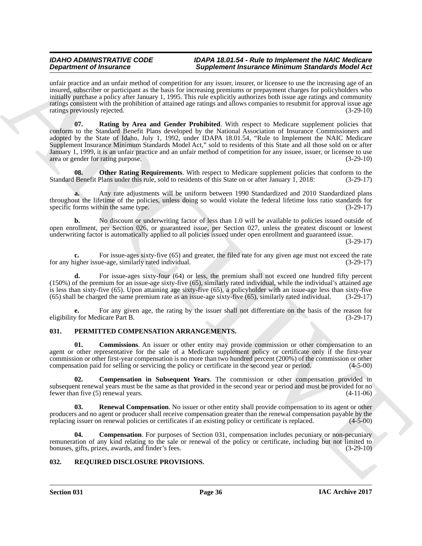<span id="page-35-3"></span>unfair practice and an unfair method of competition for any issuer, insurer, or licensee to use the increasing age of an insured, subscriber or participant as the basis for increasing premiums or prepayment charges for policyholders who initially purchase a policy after January 1, 1995. This rule explicitly authorizes both issue age ratings and community ratings consistent with the prohibition of attained age ratings and allows companies to resubmit for approval issue age ratings previously rejected. (3-29-10)

**Dependent of Francesco Construction** Simpletion in the method in the state in the state of the state of the state of the state of the state of the state of the state of the state of the state of the state of the state of **07. Rating by Area and Gender Prohibited**. With respect to Medicare supplement policies that conform to the Standard Benefit Plans developed by the National Association of Insurance Commissioners and adopted by the State of Idaho, July 1, 1992, under IDAPA 18.01.54, "Rule to Implement the NAIC Medicare Supplement Insurance Minimum Standards Model Act," sold to residents of this State and all those sold on or after January 1, 1999, it is an unfair practice and an unfair method of competition for any issuee, issuer, or licensee to use area or gender for rating purpose. (3-29-10)

<span id="page-35-2"></span>**08.** Other Rating Requirements. With respect to Medicare supplement policies that conform to the Standard Benefit Plans under this rule, sold to residents of this State on or after January 1, 2018: (3-29-17)

**a.** Any rate adjustments will be uniform between 1990 Standardized and 2010 Standardized plans throughout the lifetime of the policies, unless doing so would violate the federal lifetime loss ratio standards for specific forms within the same type. (3-29-17)

**b.** No discount or underwriting factor of less than 1.0 will be available to policies issued outside of open enrollment, per Section 026, or guaranteed issue, per Section 027, unless the greatest discount or lowest underwriting factor is automatically applied to all policies issued under open enrollment and guaranteed issue.

(3-29-17)

**c.** For issue-ages sixty-five (65) and greater, the filed rate for any given age must not exceed the rate ingher issue-age, similarly rated individual. (3-29-17) for any higher issue-age, similarly rated individual.

**d.** For issue-ages sixty-four (64) or less, the premium shall not exceed one hundred fifty percent (150%) of the premium for an issue-age sixty-five (65), similarly rated individual, while the individual's attained age is less than sixty-five (65). Upon attaining age sixty-five (65), a policyholder with an issue-age less than sixty-five (65) shall be charged the same premium rate as an issue-age sixty-five (65), similarly rated individual. (3-29-17)

For any given age, the rating by the issuer shall not differentiate on the basis of the reason for dicare Part B. (3-29-17) eligibility for Medicare Part B.

## <span id="page-35-4"></span><span id="page-35-0"></span>**031. PERMITTED COMPENSATION ARRANGEMENTS.**

<span id="page-35-5"></span>**01. Commissions**. An issuer or other entity may provide commission or other compensation to an agent or other representative for the sale of a Medicare supplement policy or certificate only if the first-year commission or other first-year compensation is no more than two hundred percent (200%) of the commission or other compensation paid for selling or servicing the policy or certificate in the second year or period. (4-5-00)

<span id="page-35-7"></span>**02. Compensation in Subsequent Years**. The commission or other compensation provided in subsequent renewal years must be the same as that provided in the second year or period and must be provided for no<br>(4-11-06) (4-11-06) fewer than five  $(5)$  renewal years.

<span id="page-35-8"></span>**Renewal Compensation**. No issuer or other entity shall provide compensation to its agent or other producers and no agent or producer shall receive compensation greater than the renewal compensation payable by the replacing issuer on renewal policies or certificates if an existing policy or certificate is replaced. (4-5 replacing issuer on renewal policies or certificates if an existing policy or certificate is replaced.

<span id="page-35-6"></span>**Compensation**. For purposes of Section 031, compensation includes pecuniary or non-pecuniary remuneration of any kind relating to the sale or renewal of the policy or certificate, including but not limited to bonuses, gifts, prizes, awards, and finder's fees. (3-29-10) bonuses, gifts, prizes, awards, and finder's fees.

## <span id="page-35-9"></span><span id="page-35-1"></span>**032. REQUIRED DISCLOSURE PROVISIONS.**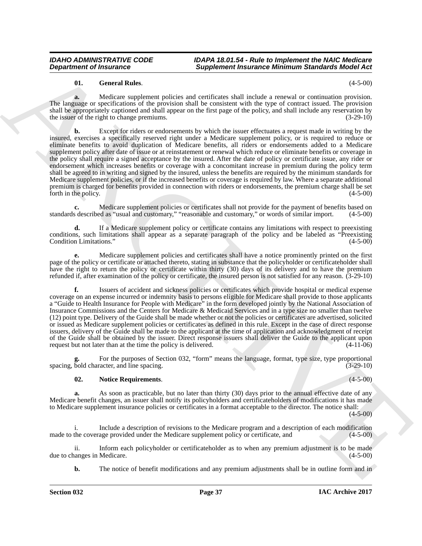## <span id="page-36-0"></span>**01. General Rules**. (4-5-00)

**a.** Medicare supplement policies and certificates shall include a renewal or continuation provision. The language or specifications of the provision shall be consistent with the type of contract issued. The provision shall be appropriately captioned and shall appear on the first page of the policy, and shall include any reservation by the issuer of the right to change premiums. (3-29-10) (3-29-10)

**Department of Insurance Completenes is appliented interaction of Minimum Samchards Michael Act 10<br>
The same of the first the constraints and constraints and interaction and the same of the same of the same of the same of b.** Except for riders or endorsements by which the issuer effectuates a request made in writing by the insured, exercises a specifically reserved right under a Medicare supplement policy, or is required to reduce or eliminate benefits to avoid duplication of Medicare benefits, all riders or endorsements added to a Medicare supplement policy after date of issue or at reinstatement or renewal which reduce or eliminate benefits or coverage in the policy shall require a signed acceptance by the insured. After the date of policy or certificate issue, any rider or endorsement which increases benefits or coverage with a concomitant increase in premium during the policy term shall be agreed to in writing and signed by the insured, unless the benefits are required by the minimum standards for Medicare supplement policies, or if the increased benefits or coverage is required by law. Where a separate additional premium is charged for benefits provided in connection with riders or endorsements, the premium charge shall be set forth in the policy. (4-5-00) forth in the policy.

Medicare supplement policies or certificates shall not provide for the payment of benefits based on Medias "usual and customary." "reasonable and customary." or words of similar import. (4-5-00) standards described as "usual and customary," "reasonable and customary," or words of similar import.

**d.** If a Medicare supplement policy or certificate contains any limitations with respect to preexisting conditions, such limitations shall appear as a separate paragraph of the policy and be labeled as "Preexisting Condition Limitations." (4-5-00) Condition Limitations."

**e.** Medicare supplement policies and certificates shall have a notice prominently printed on the first page of the policy or certificate or attached thereto, stating in substance that the policyholder or certificateholder shall have the right to return the policy or certificate within thirty (30) days of its delivery and to have the premium refunded if, after examination of the policy or certificate, the insured person is not satisfied for any reason. (3-29-10)

**f.** Issuers of accident and sickness policies or certificates which provide hospital or medical expense coverage on an expense incurred or indemnity basis to persons eligible for Medicare shall provide to those applicants a "Guide to Health Insurance for People with Medicare" in the form developed jointly by the National Association of Insurance Commissions and the Centers for Medicare & Medicaid Services and in a type size no smaller than twelve (12) point type. Delivery of the Guide shall be made whether or not the policies or certificates are advertised, solicited or issued as Medicare supplement policies or certificates as defined in this rule. Except in the case of direct response issuers, delivery of the Guide shall be made to the applicant at the time of application and acknowledgment of receipt of the Guide shall be obtained by the issuer. Direct response issuers shall deliver the Guide to the applicant upon request but not later than at the time the policy is delivered. (4-11-06)

For the purposes of Section 032, "form" means the language, format, type size, type proportional racter, and line spacing. (3-29-10) spacing, bold character, and line spacing.

## <span id="page-36-1"></span>**02. Notice Requirements**. (4-5-00)

**a.** As soon as practicable, but no later than thirty (30) days prior to the annual effective date of any Medicare benefit changes, an issuer shall notify its policyholders and certificateholders of modifications it has made to Medicare supplement insurance policies or certificates in a format acceptable to the director. The notice shall:

 $(4 - 5 - 00)$ 

i. Include a description of revisions to the Medicare program and a description of each modification made to the coverage provided under the Medicare supplement policy or certificate, and (4-5-00)

ii. Inform each policyholder or certificateholder as to when any premium adjustment is to be made<br>anges in Medicare. (4-5-00) due to changes in Medicare.

**b.** The notice of benefit modifications and any premium adjustments shall be in outline form and in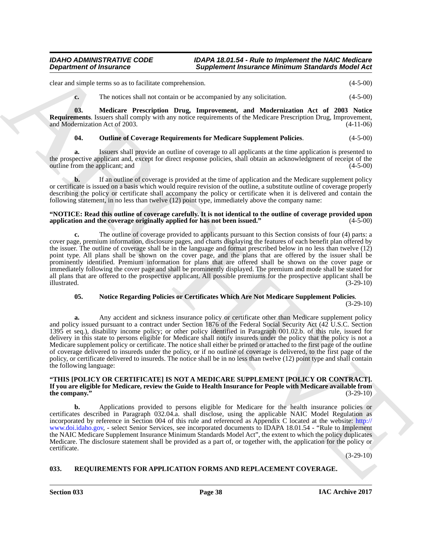clear and simple terms so as to facilitate comprehension. (4-5-00)

<span id="page-37-1"></span>**c.** The notices shall not contain or be accompanied by any solicitation. (4-5-00)

**03. Medicare Prescription Drug, Improvement, and Modernization Act of 2003 Notice Requirements**. Issuers shall comply with any notice requirements of the Medicare Prescription Drug, Improvement, and Modernization Act of 2003. <sup>(4-11-06)</sup> and Modernization Act of 2003.

## <span id="page-37-3"></span>**04. Outline of Coverage Requirements for Medicare Supplement Policies**. (4-5-00)

**a.** Issuers shall provide an outline of coverage to all applicants at the time application is presented to the prospective applicant and, except for direct response policies, shall obtain an acknowledgment of receipt of the outline from the applicant: and (4-5-00) outline from the applicant; and

**b.** If an outline of coverage is provided at the time of application and the Medicare supplement policy or certificate is issued on a basis which would require revision of the outline, a substitute outline of coverage properly describing the policy or certificate shall accompany the policy or certificate when it is delivered and contain the following statement, in no less than twelve (12) point type, immediately above the company name:

## **"NOTICE: Read this outline of coverage carefully. It is not identical to the outline of coverage provided upon** application and the coverage originally applied for has not been issued."

**c.** The outline of coverage provided to applicants pursuant to this Section consists of four (4) parts: a cover page, premium information, disclosure pages, and charts displaying the features of each benefit plan offered by the issuer. The outline of coverage shall be in the language and format prescribed below in no less than twelve (12) point type. All plans shall be shown on the cover page, and the plans that are offered by the issuer shall be prominently identified. Premium information for plans that are offered shall be shown on the cover page or immediately following the cover page and shall be prominently displayed. The premium and mode shall be stated for all plans that are offered to the prospective applicant. All possible premiums for the prospective applicant shall be illustrated. (3-29-10) illustrated. (3-29-10)

## <span id="page-37-2"></span>**05. Notice Regarding Policies or Certificates Which Are Not Medicare Supplement Policies**.

(3-29-10)

**Department of Instance Completenes (Supplement Instance Minimum Sanchure Medicine (4.540)<br>
Solution to a localization of the second interaction (4.540)<br>
C. The arctic shall not consider the second interaction (4.540)<br>
C. a.** Any accident and sickness insurance policy or certificate other than Medicare supplement policy and policy issued pursuant to a contract under Section 1876 of the Federal Social Security Act (42 U.S.C. Section 1395 et seq.), disability income policy; or other policy identified in Paragraph 001.02.b. of this rule, issued for delivery in this state to persons eligible for Medicare shall notify insureds under the policy that the policy is not a Medicare supplement policy or certificate. The notice shall either be printed or attached to the first page of the outline of coverage delivered to insureds under the policy, or if no outline of coverage is delivered, to the first page of the policy, or certificate delivered to insureds. The notice shall be in no less than twelve (12) point type and shall contain the following language:

## **"THIS [POLICY OR CERTIFICATE] IS NOT A MEDICARE SUPPLEMENT [POLICY OR CONTRACT]. If you are eligible for Medicare, review the Guide to Health Insurance for People with Medicare available from** the company."

**b.** Applications provided to persons eligible for Medicare for the health insurance policies or certificates described in Paragraph 032.04.a. shall disclose, using the applicable NAIC Model Regulation as incorporated by reference in Section 004 of this rule and referenced as Appendix C located at the website: http:// www.doi.idaho.gov, - select Senior Services, see incorporated documents to IDAPA 18.01.54 - "Rule to Implement the NAIC Medicare Supplement Insurance Minimum Standards Model Act", the extent to which the policy duplicates Medicare. The disclosure statement shall be provided as a part of, or together with, the application for the policy or certificate.

(3-29-10)

## <span id="page-37-4"></span><span id="page-37-0"></span>**033. REQUIREMENTS FOR APPLICATION FORMS AND REPLACEMENT COVERAGE.**

**Section 033 Page 38**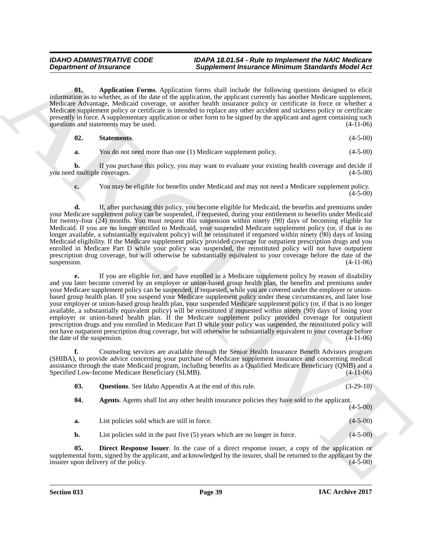<span id="page-38-1"></span>**01. Application Forms**. Application forms shall include the following questions designed to elicit information as to whether, as of the date of the application, the applicant currently has another Medicare supplement, Medicare Advantage, Medicaid coverage, or another health insurance policy or certificate in force or whether a Medicare supplement policy or certificate is intended to replace any other accident and sickness policy or certificate presently in force. A supplementary application or other form to be signed by the applicant and agent containing such questions and statements may be used.  $(4-11-06)$ questions and statements may be used.

| 02. | <b>Statements.</b> | $(4-5-00)$ |
|-----|--------------------|------------|
|     |                    |            |

<span id="page-38-4"></span>**a.** You do not need more than one (1) Medicare supplement policy. (4-5-00)

**b.** If you purchase this policy, you may want to evaluate your existing health coverage and decide if l multiple coverages. (4-5-00) you need multiple coverages.

**c.** You may be eligible for benefits under Medicaid and may not need a Medicare supplement policy.  $(4-5-00)$ 

**d.** If, after purchasing this policy, you become eligible for Medicaid, the benefits and premiums under your Medicare supplement policy can be suspended, if requested, during your entitlement to benefits under Medicaid for twenty-four (24) months. You must request this suspension within ninety (90) days of becoming eligible for Medicaid. If you are no longer entitled to Medicaid, your suspended Medicare supplement policy (or, if that is no longer available, a substantially equivalent policy) will be reinstituted if requested within ninety (90) days of losing Medicaid eligibility. If the Medicare supplement policy provided coverage for outpatient prescription drugs and you enrolled in Medicare Part D while your policy was suspended, the reinstituted policy will not have outpatient prescription drug coverage, but will otherwise be substantially equivalent to your coverage before the date of the suspension. (4-11-06)  $s$ uspension.  $(4-11-06)$ 

**Department of Insurance**  $\frac{2}{3}$  **and the same of the same of the same of the same of the same of the same of the same of the same of the same of the same of the same of the same of the same of the same of the same of th e.** If you are eligible for, and have enrolled in a Medicare supplement policy by reason of disability and you later become covered by an employer or union-based group health plan, the benefits and premiums under your Medicare supplement policy can be suspended, if requested, while you are covered under the employer or unionbased group health plan. If you suspend your Medicare supplement policy under these circumstances, and later lose your employer or union-based group health plan, your suspended Medicare supplement policy (or, if that is no longer available, a substantially equivalent policy) will be reinstituted if requested within ninety (90) days of losing your employer or union-based health plan. If the Medicare supplement policy provided coverage for outpatient prescription drugs and you enrolled in Medicare Part D while your policy was suspended, the reinstituted policy will not have outpatient prescription drug coverage, but will otherwise be substantially equivalent to your coverage before the date of the suspension. (4-11-06)

**f.** Counseling services are available through the Senior Health Insurance Benefit Advisors program (SHIBA), to provide advice concerning your purchase of Medicare supplement insurance and concerning medical assistance through the state Medicaid program, including benefits as a Qualified Medicare Beneficiary (QMB) and a Specified Low-Income Medicare Beneficiary (SLMB). (4-11-06)

<span id="page-38-3"></span><span id="page-38-0"></span>

| 03. | <b>Questions.</b> See Idaho Appendix A at the end of this rule.                                       | $(3-29-10)$ |
|-----|-------------------------------------------------------------------------------------------------------|-------------|
| 04. | <b>Agents.</b> Agents shall list any other health insurance policies they have sold to the applicant. | $(4-5-00)$  |
| a.  | List policies sold which are still in force.                                                          | $(4-5-00)$  |

<span id="page-38-2"></span>**b.** List policies sold in the past five (5) years which are no longer in force. (4-5-00)

**05. Direct Response Issuer**. In the case of a direct response issuer, a copy of the application or supplemental form, signed by the applicant, and acknowledged by the insurer, shall be returned to the applicant by the insurer upon delivery of the policy.  $(4-5-00)$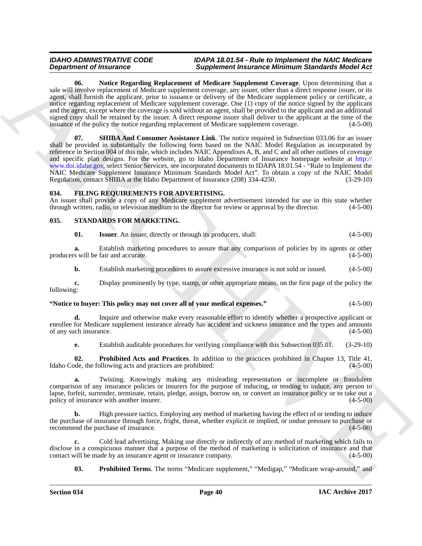<span id="page-39-4"></span><span id="page-39-3"></span>**06. Notice Regarding Replacement of Medicare Supplement Coverage**. Upon determining that a sale will involve replacement of Medicare supplement coverage, any issuer, other than a direct response issuer, or its agent, shall furnish the applicant, prior to issuance or delivery of the Medicare supplement policy or certificate, a notice regarding replacement of Medicare supplement coverage. One (1) copy of the notice signed by the applicant and the agent, except where the coverage is sold without an agent, shall be provided to the applicant and an additional signed copy shall be retained by the issuer. A direct response issuer shall deliver to the applicant at the time of the issuance of the policy the notice regarding replacement of Medicare supplement coverage. (4-5-00) issuance of the policy the notice regarding replacement of Medicare supplement coverage.

**Department of Hustrasson Constraints of Andreas Constraints (Engine Similar and Similar Similar And Similar Similar And Similar Similar Similar Similar Similar Similar Similar Similar Similar Similar Similar Similar Simi 07. SHIBA And Consumer Assistance Link**. The notice required in Subsection 033.06 for an issuer shall be provided in substantially the following form based on the NAIC Model Regulation as incorporated by reference in Section 004 of this rule, which includes NAIC Appendixes A, B, and C and all other outlines of coverage and specific plan designs. For the website, go to Idaho Department of Insurance homepage website at http:// www.doi.idaho.gov, select Senior Services, see incorporated documents to IDAPA 18.01.54 - "Rule to Implement the NAIC Medicare Supplement Insurance Minimum Standards Model Act". To obtain a copy of the NAIC Model Regulation, contact SHIBA at the Idaho Department of Insurance (208) 334-4250. (3-29-10)

## <span id="page-39-2"></span><span id="page-39-0"></span>**034. FILING REQUIREMENTS FOR ADVERTISING.**

An issuer shall provide a copy of any Medicare supplement advertisement intended for use in this state whether through written, radio, or television medium to the director for review or approval by the director. (4-5-00)

## <span id="page-39-1"></span>**035. STANDARDS FOR MARKETING.**

<span id="page-39-6"></span><span id="page-39-5"></span>**01. Issuer**. An issuer, directly or through its producers, shall: (4-5-00)

**a.** Establish marketing procedures to assure that any comparison of policies by its agents or other s will be fair and accurate.  $(4-5-00)$ producers will be fair and accurate.

**b.** Establish marketing procedures to assure excessive insurance is not sold or issued.  $(4-5-00)$ 

**c.** Display prominently by type, stamp, or other appropriate means, on the first page of the policy the following:

## **"Notice to buyer: This policy may not cover all of your medical expenses."** (4-5-00)

**d.** Inquire and otherwise make every reasonable effort to identify whether a prospective applicant or enrollee for Medicare supplement insurance already has accident and sickness insurance and the types and amounts of any such insurance. (4-5-00)

<span id="page-39-7"></span>**e.** Establish auditable procedures for verifying compliance with this Subsection 035.01. (3-29-10)

**02. Prohibited Acts and Practices**. In addition to the practices prohibited in Chapter 13, Title 41, de, the following acts and practices are prohibited: (4-5-00) Idaho Code, the following acts and practices are prohibited:

**a.** Twisting. Knowingly making any misleading representation or incomplete or fraudulent comparison of any insurance policies or insurers for the purpose of inducing, or tending to induce, any person to lapse, forfeit, surrender, terminate, retain, pledge, assign, borrow on, or convert an insurance policy or to take out a policy of insurance with another insurer. (4-5-00)

**b.** High pressure tactics. Employing any method of marketing having the effect of or tending to induce the purchase of insurance through force, fright, threat, whether explicit or implied, or undue pressure to purchase or recommend the purchase of insurance. recommend the purchase of insurance.

**c.** Cold lead advertising. Making use directly or indirectly of any method of marketing which fails to disclose in a conspicuous manner that a purpose of the method of marketing is solicitation of insurance and that contact will be made by an insurance agent or insurance company. (4-5-00) contact will be made by an insurance agent or insurance company.

<span id="page-39-8"></span>**03. Prohibited Terms**. The terms "Medicare supplement," "Medigap," "Medicare wrap-around," and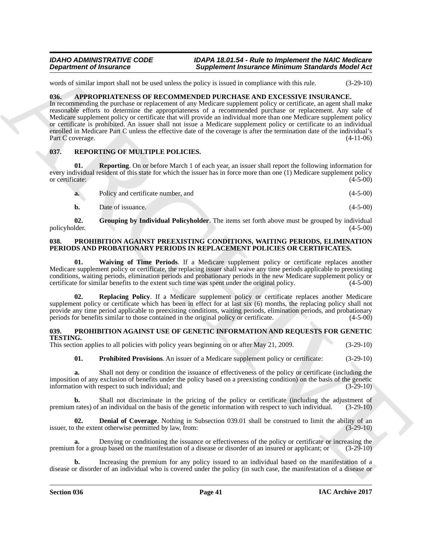words of similar import shall not be used unless the policy is issued in compliance with this rule.  $(3-29-10)$ 

## <span id="page-40-4"></span><span id="page-40-0"></span>**036. APPROPRIATENESS OF RECOMMENDED PURCHASE AND EXCESSIVE INSURANCE.**

**Department of Franchise Completes (Supplement Franchise Billions of Sundantin Research 1980<br>
Under a state house state to sell the sell that the sell the selling of the selling of the selling and the selling of the selli** In recommending the purchase or replacement of any Medicare supplement policy or certificate, an agent shall make reasonable efforts to determine the appropriateness of a recommended purchase or replacement. Any sale of Medicare supplement policy or certificate that will provide an individual more than one Medicare supplement policy or certificate is prohibited. An issuer shall not issue a Medicare supplement policy or certificate to an individual enrolled in Medicare Part C unless the effective date of the coverage is after the termination date of the individual's Part C coverage. (4-11-06)

## <span id="page-40-11"></span><span id="page-40-1"></span>**037. REPORTING OF MULTIPLE POLICIES.**

**01. Reporting**. On or before March 1 of each year, an issuer shall report the following information for every individual resident of this state for which the issuer has in force more than one (1) Medicare supplement policy<br>or certificate: (4-5-00) or certificate: (4-5-00)

<span id="page-40-13"></span>

| a. | Policy and certificate number, and | $(4-5-00)$ |
|----|------------------------------------|------------|
|    |                                    |            |

<span id="page-40-12"></span>**b.** Date of issuance. (4-5-00)

**02.** Grouping by Individual Policyholder. The items set forth above must be grouped by individual lder. (4-5-00) policyholder.

### <span id="page-40-5"></span><span id="page-40-2"></span>**038. PROHIBITION AGAINST PREEXISTING CONDITIONS, WAITING PERIODS, ELIMINATION PERIODS AND PROBATIONARY PERIODS IN REPLACEMENT POLICIES OR CERTIFICATES.**

<span id="page-40-7"></span>**01. Waiving of Time Periods**. If a Medicare supplement policy or certificate replaces another Medicare supplement policy or certificate, the replacing issuer shall waive any time periods applicable to preexisting conditions, waiting periods, elimination periods and probationary periods in the new Medicare supplement policy or certificate for similar benefits to the extent such time was spent under the original policy.

<span id="page-40-6"></span>**02. Replacing Policy**. If a Medicare supplement policy or certificate replaces another Medicare supplement policy or certificate which has been in effect for at last six (6) months, the replacing policy shall not provide any time period applicable to preexisting conditions, waiting periods, elimination periods, and probationary<br>periods for benefits similar to those contained in the original policy or certificate. (4-5-00) periods for benefits similar to those contained in the original policy or certificate.

## <span id="page-40-8"></span><span id="page-40-3"></span>**039. PROHIBITION AGAINST USE OF GENETIC INFORMATION AND REQUESTS FOR GENETIC TESTING.**

This section applies to all policies with policy years beginning on or after May 21, 2009. (3-29-10)

<span id="page-40-10"></span>**01. Prohibited Provisions**. An issuer of a Medicare supplement policy or certificate: (3-29-10)

**a.** Shall not deny or condition the issuance of effectiveness of the policy or certificate (including the imposition of any exclusion of benefits under the policy based on a preexisting condition) on the basis of the genetic information with respect to such individual; and (3-29-10) information with respect to such individual; and

**b.** Shall not discriminate in the pricing of the policy or certificate (including the adjustment of premium rates) of an individual on the basis of the genetic information with respect to such individual. (3-29-10)

<span id="page-40-9"></span>**02. Denial of Coverage**. Nothing in Subsection 039.01 shall be construed to limit the ability of an the extent otherwise permitted by law, from: (3-29-10) issuer, to the extent otherwise permitted by law, from:

**a.** Denying or conditioning the issuance or effectiveness of the policy or certificate or increasing the for a group based on the manifestation of a disease or disorder of an insured or applicant; or  $(3-29-10)$ premium for a group based on the manifestation of a disease or disorder of an insured or applicant; or

**b.** Increasing the premium for any policy issued to an individual based on the manifestation of a disease or disorder of an individual who is covered under the policy (in such case, the manifestation of a disease or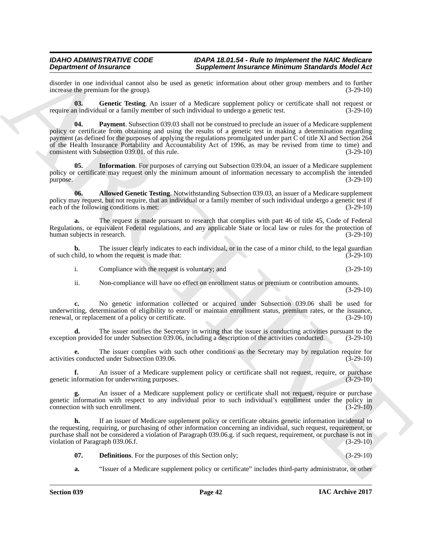disorder in one individual cannot also be used as genetic information about other group members and to further increase the premium for the group).  $(3-29-10)$ increase the premium for the group).

<span id="page-41-4"></span><span id="page-41-2"></span>**03.** Genetic Testing. An issuer of a Medicare supplement policy or certificate shall not request or n individual or a family member of such individual to undergo a genetic test. (3-29-10) require an individual or a family member of such individual to undergo a genetic test.

**Experiment of International Completent International Emission Constitution International Constitution Constitution Constitution Constitution Constitution Constitution Constitution Constitution Constitution Constitution C 04. Payment**. Subsection 039.03 shall not be construed to preclude an issuer of a Medicare supplement policy or certificate from obtaining and using the results of a genetic test in making a determination regarding payment (as defined for the purposes of applying the regulations promulgated under part C of title XI and Section 264 of the Health Insurance Portability and Accountability Act of 1996, as may be revised from time to time) and consistent with Subsection 039.01, of this rule. (3-29-10) consistent with Subsection 039.01. of this rule.

<span id="page-41-3"></span>**05. Information**. For purposes of carrying out Subsection 039.04, an issuer of a Medicare supplement policy or certificate may request only the minimum amount of information necessary to accomplish the intended  $p$ urpose.  $(3-29-10)$ 

<span id="page-41-0"></span>**06. Allowed Genetic Testing**. Notwithstanding Subsection 039.03, an issuer of a Medicare supplement policy may request, but not require, that an individual or a family member of such individual undergo a genetic test if each of the following conditions is met: (3-29-10)

**a.** The request is made pursuant to research that complies with part 46 of title 45, Code of Federal Regulations, or equivalent Federal regulations, and any applicable State or local law or rules for the protection of human subjects in research. (3-29-10) human subjects in research.

**b.** The issuer clearly indicates to each individual, or in the case of a minor child, to the legal guardian child, to whom the request is made that: of such child, to whom the request is made that:

i. Compliance with the request is voluntary; and (3-29-10)

ii. Non-compliance will have no effect on enrollment status or premium or contribution amounts. (3-29-10)

**c.** No genetic information collected or acquired under Subsection 039.06 shall be used for underwriting, determination of eligibility to enroll or maintain enrollment status, premium rates, or the issuance, renewal, or replacement of a policy or certificate. (3-29-10) renewal, or replacement of a policy or certificate.

The issuer notifies the Secretary in writing that the issuer is conducting activities pursuant to the d for under Subsection 039.06, including a description of the activities conducted.  $(3-29-10)$ exception provided for under Subsection 039.06, including a description of the activities conducted.

**e.** The issuer complies with such other conditions as the Secretary may by regulation require for conducted under Subsection 039.06. (3-29-10) activities conducted under Subsection 039.06.

**f.** An issuer of a Medicare supplement policy or certificate shall not request, require, or purchase information for underwriting purposes. genetic information for underwriting purposes.

**g.** An issuer of a Medicare supplement policy or certificate shall not request, require or purchase genetic information with respect to any individual prior to such individual's enrollment under the policy in connection with such enrollment. (3-29-10)

**h.** If an issuer of Medicare supplement policy or certificate obtains genetic information incidental to the requesting, requiring, or purchasing of other information concerning an individual, such request, requirement, or purchase shall not be considered a violation of Paragraph 039.06.g. if such request, requirement, or purchase is not in violation of Paragraph 039.06.f. (3-29-10)

<span id="page-41-1"></span>**07. Definitions**. For the purposes of this Section only; (3-29-10)

**a.** "Issuer of a Medicare supplement policy or certificate" includes third-party administrator, or other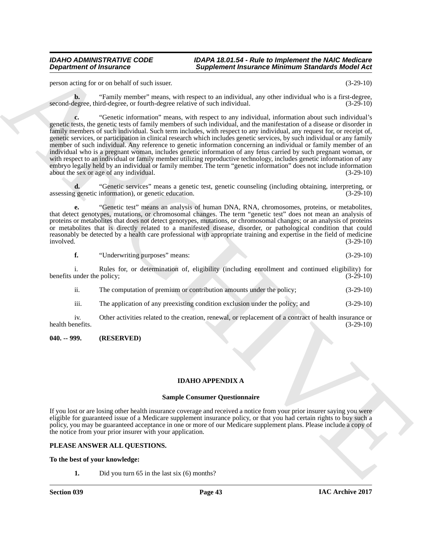person acting for or on behalf of such issuer. (3-29-10)

**b.** "Family member" means, with respect to an individual, any other individual who is a first-degree, third-degree, or fourth-degree relative of such individual. (3-29-10) second-degree, third-degree, or fourth-degree relative of such individual.

**Experiment of Instantine Completenesis Completenesis (European Completenesis (European Completenesis)**<br>
ARCHIVED COMPUTER COMPUTER CONTENT CONTENT OF THE CONTENT OF THE CONTENT OF THE CONTENT OF THE CONTENT OF THE CONTEN **c.** "Genetic information" means, with respect to any individual, information about such individual's genetic tests, the genetic tests of family members of such individual, and the manifestation of a disease or disorder in family members of such individual. Such term includes, with respect to any individual, any request for, or receipt of, genetic services, or participation in clinical research which includes genetic services, by such individual or any family member of such individual. Any reference to genetic information concerning an individual or family member of an individual who is a pregnant woman, includes genetic information of any fetus carried by such pregnant woman, or with respect to an individual or family member utilizing reproductive technology, includes genetic information of any embryo legally held by an individual or family member. The term "genetic information" does not include information about the sex or age of any individual. (3-29-10)

**d.** "Genetic services" means a genetic test, genetic counseling (including obtaining, interpreting, or genetic information), or genetic education.  $(3-29-10)$ assessing genetic information), or genetic education.

**e.** "Genetic test" means an analysis of human DNA, RNA, chromosomes, proteins, or metabolites, that detect genotypes, mutations, or chromosomal changes. The term "genetic test" does not mean an analysis of proteins or metabolites that does not detect genotypes, mutations, or chromosomal changes; or an analysis of proteins or metabolites that is directly related to a manifested disease, disorder, or pathological condition that could reasonably be detected by a health care professional with appropriate training and expertise in the field of medicine involved. (3-29-10) involved. (3-29-10)

**f.** "Underwriting purposes" means: (3-29-10)

i. Rules for, or determination of, eligibility (including enrollment and continued eligibility) for benefits under the policy; (3-29-10) (3-29-10)

ii. The computation of premium or contribution amounts under the policy; (3-29-10)

iii. The application of any preexisting condition exclusion under the policy; and (3-29-10)

iv. Other activities related to the creation, renewal, or replacement of a contract of health insurance or nefits. (3-29-10) health benefits.

## <span id="page-42-0"></span>**040. -- 999. (RESERVED)**

## <span id="page-42-1"></span>**IDAHO APPENDIX A**

## **Sample Consumer Questionnaire**

If you lost or are losing other health insurance coverage and received a notice from your prior insurer saying you were eligible for guaranteed issue of a Medicare supplement insurance policy, or that you had certain rights to buy such a policy, you may be guaranteed acceptance in one or more of our Medicare supplement plans. Please include a copy of the notice from your prior insurer with your application.

## **PLEASE ANSWER ALL QUESTIONS.**

## **To the best of your knowledge:**

**1.** Did you turn 65 in the last six (6) months?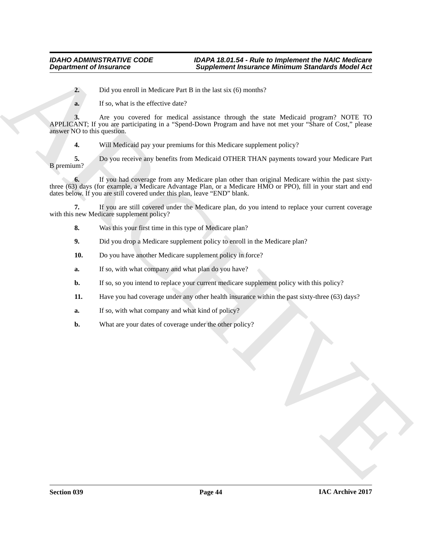**2.** Did you enroll in Medicare Part B in the last six (6) months?

**a.** If so, what is the effective date?

**Experiment of Insurance <br>
2.** Distance in the solicity distance in the same sixted for the same state of the same state of the same state of the same state of the same state of the same state of the same state of the sam **3.** Are you covered for medical assistance through the state Medicaid program? NOTE TO APPLICANT; If you are participating in a "Spend-Down Program and have not met your "Share of Cost," please answer NO to this question.

**4.** Will Medicaid pay your premiums for this Medicare supplement policy?

**5.** Do you receive any benefits from Medicaid OTHER THAN payments toward your Medicare Part B premium?

**6.** If you had coverage from any Medicare plan other than original Medicare within the past sixtythree (63) days (for example, a Medicare Advantage Plan, or a Medicare HMO or PPO), fill in your start and end dates below. If you are still covered under this plan, leave "END" blank.

**7.** If you are still covered under the Medicare plan, do you intend to replace your current coverage with this new Medicare supplement policy?

- **8.** Was this your first time in this type of Medicare plan?
- **9.** Did you drop a Medicare supplement policy to enroll in the Medicare plan?
- **10.** Do you have another Medicare supplement policy in force?
- **a.** If so, with what company and what plan do you have?
- **b.** If so, so you intend to replace your current medicare supplement policy with this policy?
- **11.** Have you had coverage under any other health insurance within the past sixty-three (63) days?
- **a.** If so, with what company and what kind of policy?
- **b.** What are your dates of coverage under the other policy?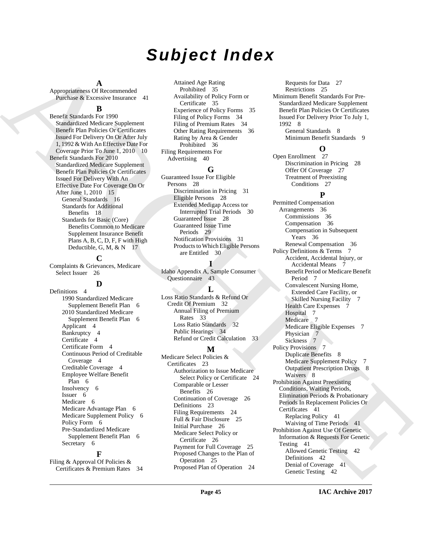# *Subject Index*

## **A**

Appropriateness Of Recommended Purchase & Excessive Insurance 41

## **B**

Benefit Standards For 1990 Standardized Medicare Supplement Benefit Plan Policies Or Certificates Issued For Delivery On Or After July 1, 1992 & With An Effective Date For Coverage Prior To June 1, 2010 10 Benefit Standards For 2010 Standardized Medicare Supplement Benefit Plan Policies Or Certificates Issued For Delivery With An Effective Date For Coverage On Or After June 1, 2010 15 General Standards 16 Standards for Additional Benefits 18 Standards for Basic (Core) Benefits Common to Medicare Supplement Insurance Benefit Plans A, B, C, D, F, F with High Deductible, G, M, & N 17

## **C**

Complaints & Grievances, Medicare Select Issuer 26

## **D**

Definitions 4 1990 Standardized Medicare Supplement Benefit Plan 6 2010 Standardized Medicare Supplement Benefit Plan 6 Applicant 4 Bankruptcy 4 Certificate 4 Certificate Form 4 Continuous Period of Creditable Coverage 4 Creditable Coverage 4 Employee Welfare Benefit Plan 6 Insolvency 6 Issuer 6 Medicare 6 Medicare Advantage Plan 6 Medicare Supplement Policy 6 Policy Form 6 Pre-Standardized Medicare Supplement Benefit Plan 6 Secretary 6

Filing & Approval Of Policies & Certificates & Premium Rates 34

**F**

Attained Age Rating Prohibited 35 Availability of Policy Form or Certificate 35 Experience of Policy Forms 35 Filing of Policy Forms 34 Filing of Premium Rates 34 Other Rating Requirements 36 Rating by Area & Gender Prohibited 36 Filing Requirements For Advertising 40

## **G**

Guaranteed Issue For Eligible Persons 28 Discrimination in Pricing 31 Eligible Persons 28 Extended Medigap Access tor Interrupted Trial Periods 30 Guaranteed Issue 28 Guaranteed Issue Time Periods 29 Notification Provisions 31 Products to Which Eligible Persons are Entitled 30

## **I**

Idaho Appendix A, Sample Consumer Questionnaire 43

## **L**

Loss Ratio Standards & Refund Or Credit Of Premium 32 Annual Filing of Premium Rates 33 Loss Ratio Standards 32 Public Hearings 34 Refund or Credit Calculation 33

## **M**

Medicare Select Policies & Certificates 23 Authorization to Issue Medicare Select Policy or Certificate 24 Comparable or Lesser Benefits 26 Continuation of Coverage 26 Definitions 23 Filing Requirements 24 Full & Fair Disclosure 25 Initial Purchase 26 Medicare Select Policy or Certificate 26 Payment for Full Coverage 25 Proposed Changes to the Plan of Operation 25 Proposed Plan of Operation 24

Requests for Data 27 Restrictions 25 Minimum Benefit Standards For Pre-Standardized Medicare Supplement Benefit Plan Policies Or Certificates Issued For Delivery Prior To July 1, 1992 8 General Standards 8

Minimum Benefit Standards 9

## **O**

Open Enrollment 27 Discrimination in Pricing 28 Offer Of Coverage 27 Treatment of Preexisting Conditions 27

## **P**

[A](#page-9-1)pple times when the control of the function of the state is control to the control of the state of the state of the state of the state of the state of the state of the state of the state of the state of the state of the Permitted Compensation Arrangements 36 Commissions 36 Compensation 36 Compensation in Subsequent Years 36 Renewal Compensation 36 Policy Definitions & Terms 7 Accident, Accidental Injury, or Accidental Means 7 Benefit Period or Medicare Benefit Period 7 Convalescent Nursing Home, Extended Care Facility, or Skilled Nursing Facility 7 Health Care Expenses 7 Hospital 7 Medicare 7 Medicare Eligible Expenses 7 Physician 7 Sickness 7 Policy Provisions 7 Duplicate Benefits 8 Medicare Supplement Policy 7 Outpatient Prescription Drugs 8 Waivers 8 Prohibition Against Preexisting Conditions, Waiting Periods, Elimination Periods & Probationary Periods In Replacement Policies Or Certificates 41 Replacing Policy 41 Waiving of Time Periods 41 Prohibition Against Use Of Genetic Information & Requests For Genetic Testing 41 Allowed Genetic Testing 42 Definitions 42 Denial of Coverage 41 Genetic Testing 42